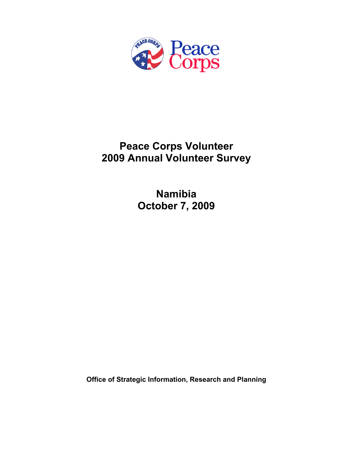

# **Peace Corps Volunteer 2009 Annual Volunteer Survey**

**Namibia October 7, 2009** 

**Office of Strategic Information, Research and Planning**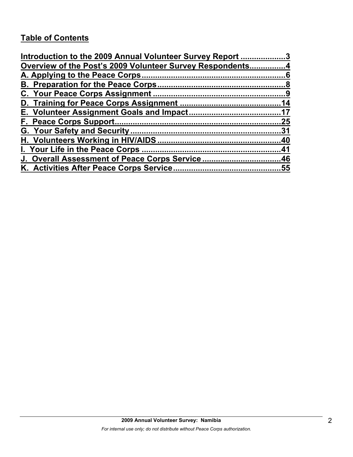# **Table of Contents**

| Introduction to the 2009 Annual Volunteer Survey Report 3 |     |
|-----------------------------------------------------------|-----|
| Overview of the Post's 2009 Volunteer Survey Respondents4 |     |
|                                                           |     |
|                                                           |     |
|                                                           |     |
|                                                           |     |
|                                                           |     |
|                                                           | .25 |
|                                                           |     |
|                                                           |     |
|                                                           |     |
| J. Overall Assessment of Peace Corps Service46            |     |
|                                                           |     |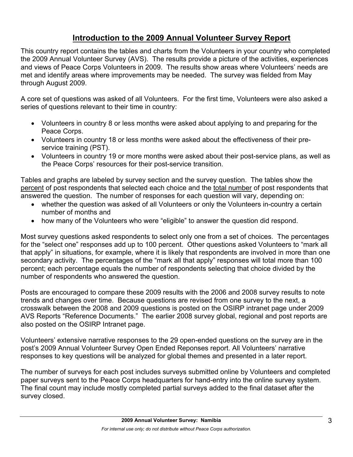# **Introduction to the 2009 Annual Volunteer Survey Report**

This country report contains the tables and charts from the Volunteers in your country who completed the 2009 Annual Volunteer Survey (AVS). The results provide a picture of the activities, experiences and views of Peace Corps Volunteers in 2009. The results show areas where Volunteers' needs are met and identify areas where improvements may be needed. The survey was fielded from May through August 2009.

A core set of questions was asked of all Volunteers. For the first time, Volunteers were also asked a series of questions relevant to their time in country:

- Volunteers in country 8 or less months were asked about applying to and preparing for the Peace Corps.
- Volunteers in country 18 or less months were asked about the effectiveness of their preservice training (PST).
- Volunteers in country 19 or more months were asked about their post-service plans, as well as the Peace Corps' resources for their post-service transition.

Tables and graphs are labeled by survey section and the survey question. The tables show the percent of post respondents that selected each choice and the total number of post respondents that answered the question. The number of responses for each question will vary, depending on:

- whether the question was asked of all Volunteers or only the Volunteers in-country a certain number of months and
- how many of the Volunteers who were "eligible" to answer the question did respond.

Most survey questions asked respondents to select only one from a set of choices. The percentages for the "select one" responses add up to 100 percent. Other questions asked Volunteers to "mark all that apply" in situations, for example, where it is likely that respondents are involved in more than one secondary activity. The percentages of the "mark all that apply" responses will total more than 100 percent; each percentage equals the number of respondents selecting that choice divided by the number of respondents who answered the question.

Posts are encouraged to compare these 2009 results with the 2006 and 2008 survey results to note trends and changes over time. Because questions are revised from one survey to the next, a crosswalk between the 2008 and 2009 questions is posted on the OSIRP intranet page under 2009 AVS Reports "Reference Documents." The earlier 2008 survey global, regional and post reports are also posted on the OSIRP Intranet page.

Volunteers' extensive narrative responses to the 29 open-ended questions on the survey are in the post's 2009 Annual Volunteer Survey Open Ended Reponses report. All Volunteers' narrative responses to key questions will be analyzed for global themes and presented in a later report.

The number of surveys for each post includes surveys submitted online by Volunteers and completed paper surveys sent to the Peace Corps headquarters for hand-entry into the online survey system. The final count may include mostly completed partial surveys added to the final dataset after the survey closed.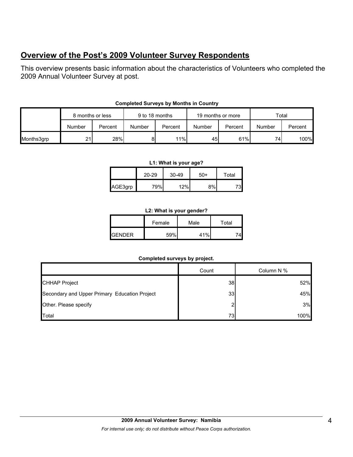# **Overview of the Post's 2009 Volunteer Survey Respondents**

This overview presents basic information about the characteristics of Volunteers who completed the 2009 Annual Volunteer Survey at post.

|            | 8 months or less |         | 9 to 18 months |         | 19 months or more |         | Total  |         |
|------------|------------------|---------|----------------|---------|-------------------|---------|--------|---------|
|            | Number           | Percent | Number         | Percent | Number            | Percent | Number | Percent |
| Months3grp | 21.              | 28%     | 81             | 11%     | 45                | 61%     | 74     | 100%    |

## **Completed Surveys by Months in Country**

#### **L1: What is your age?**

|         | $20 - 29$ | $30 - 49$ | 50+ | Total |
|---------|-----------|-----------|-----|-------|
| AGE3grp | 79%       | 12%       | 8%  |       |

### **L2: What is your gender?**

|                 | Female | Male          | Total |  |
|-----------------|--------|---------------|-------|--|
| <b>I</b> GENDER | 59%    | $\lambda$ 10/ |       |  |

### **Completed surveys by project.**

|                                               | Count | Column N % |
|-----------------------------------------------|-------|------------|
| <b>CHHAP Project</b>                          | 38    | 52%        |
| Secondary and Upper Primary Education Project | 33    | 45%        |
| Other. Please specify                         | ◠     | 3%         |
| Total                                         | 73    | 100%       |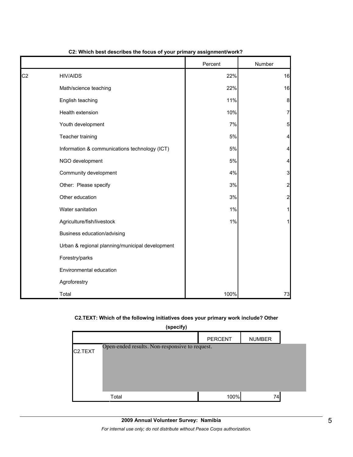|                |                                                 | Percent | Number         |
|----------------|-------------------------------------------------|---------|----------------|
| C <sub>2</sub> | <b>HIV/AIDS</b>                                 | 22%     | 16             |
|                | Math/science teaching                           | 22%     | 16             |
|                | English teaching                                | 11%     | 8              |
|                | Health extension                                | 10%     | 7              |
|                | Youth development                               | 7%      | 5              |
|                | Teacher training                                | 5%      | 4              |
|                | Information & communications technology (ICT)   | 5%      | $\overline{a}$ |
|                | NGO development                                 | 5%      | 4              |
|                | Community development                           | 4%      | 3              |
|                | Other: Please specify                           | 3%      | $\overline{a}$ |
|                | Other education                                 | 3%      | $\overline{a}$ |
|                | Water sanitation                                | 1%      | 1              |
|                | Agriculture/fish/livestock                      | 1%      | 1              |
|                | Business education/advising                     |         |                |
|                | Urban & regional planning/municipal development |         |                |
|                | Forestry/parks                                  |         |                |
|                | Environmental education                         |         |                |
|                | Agroforestry                                    |         |                |
|                | Total                                           | 100%    | 73             |

#### **C2: Which best describes the focus of your primary assignment/work?**

### **C2.TEXT: Which of the following initiatives does your primary work include? Other**

| (specify)            |                                                |                |               |  |  |
|----------------------|------------------------------------------------|----------------|---------------|--|--|
|                      |                                                | <b>PERCENT</b> | <b>NUMBER</b> |  |  |
| C <sub>2</sub> .TEXT | Open-ended results. Non-responsive to request. |                |               |  |  |
|                      | Total                                          | 100%           | 74            |  |  |

*For internal use only; do not distribute without Peace Corps authorization.*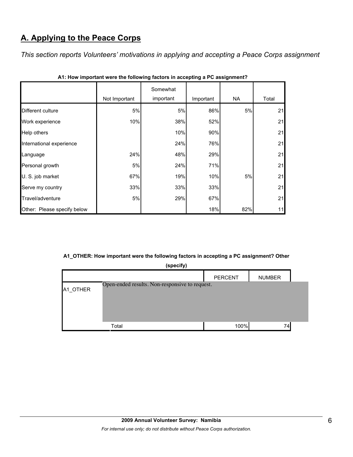# **A. Applying to the Peace Corps**

*This section reports Volunteers' motivations in applying and accepting a Peace Corps assignment* 

|                             | Not Important | Somewhat<br>important | Important | NA  | Total |
|-----------------------------|---------------|-----------------------|-----------|-----|-------|
| Different culture           | 5%            | 5%                    | 86%       | 5%  | 21    |
|                             |               |                       |           |     |       |
| Work experience             | 10%           | 38%                   | 52%       |     | 21    |
| Help others                 |               | 10%                   | 90%       |     | 21    |
| International experience    |               | 24%                   | 76%       |     | 21    |
| Language                    | 24%           | 48%                   | 29%       |     | 21    |
| Personal growth             | 5%            | 24%                   | 71%       |     | 21    |
| U. S. job market            | 67%           | 19%                   | 10%       | 5%  | 21    |
| Serve my country            | 33%           | 33%                   | 33%       |     | 21    |
| Travel/adventure            | 5%            | 29%                   | 67%       |     | 21    |
| Other: Please specify below |               |                       | 18%       | 82% | 11    |

**A1: How important were the following factors in accepting a PC assignment?**

### **A1\_OTHER: How important were the following factors in accepting a PC assignment? Other**

| (specify) |                                                |                |               |  |  |
|-----------|------------------------------------------------|----------------|---------------|--|--|
|           |                                                | <b>PERCENT</b> | <b>NUMBER</b> |  |  |
| A1_OTHER  | Open-ended results. Non-responsive to request. |                |               |  |  |
|           | Total                                          | 100%           | 74            |  |  |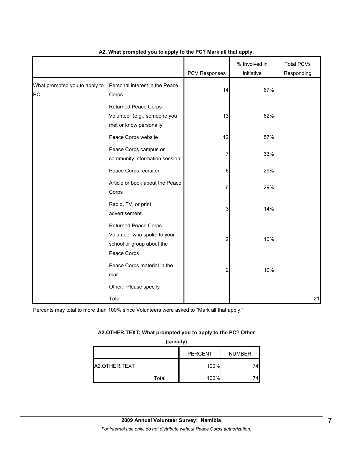|                                     |                                                                                                        | PCV Responses | % Involved in<br>Initiative | <b>Total PCVs</b><br>Responding |
|-------------------------------------|--------------------------------------------------------------------------------------------------------|---------------|-----------------------------|---------------------------------|
| What prompted you to apply to<br>PC | Personal interest in the Peace<br>Corps                                                                | 14            | 67%                         |                                 |
|                                     | <b>Returned Peace Corps</b><br>Volunteer (e.g., someone you<br>met or know personally                  | 13            | 62%                         |                                 |
|                                     | Peace Corps website                                                                                    | 12            | 57%                         |                                 |
|                                     | Peace Corps campus or<br>community information session                                                 |               | 33%                         |                                 |
|                                     | Peace Corps recruiter                                                                                  | 6             | 29%                         |                                 |
|                                     | Article or book about the Peace<br>Corps                                                               | 6             | 29%                         |                                 |
|                                     | Radio, TV, or print<br>advertisement                                                                   | 3             | 14%                         |                                 |
|                                     | <b>Returned Peace Corps</b><br>Volunteer who spoke to your<br>school or group about the<br>Peace Corps | 2             | 10%                         |                                 |
|                                     | Peace Corps material in the<br>mail                                                                    | 2             | 10%                         |                                 |
|                                     | Other: Please specify                                                                                  |               |                             |                                 |
|                                     | Total                                                                                                  |               |                             | 21                              |

### **A2. What prompted you to apply to the PC? Mark all that apply.**

Percents may total to more than 100% since Volunteers were asked to "Mark all that apply."

### **A2.OTHER.TEXT: What prompted you to apply to the PC? Other**

**(specify)**

|               |       | <b>PERCENT</b> | <b>NUMBER</b> |
|---------------|-------|----------------|---------------|
| A2.OTHER.TEXT |       | 100%           |               |
|               | Total | 100%           |               |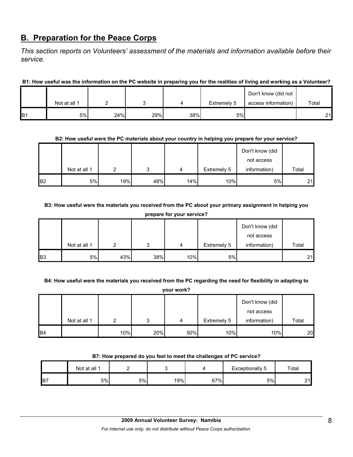# **B. Preparation for the Peace Corps**

*This section reports on Volunteers' assessment of the materials and information available before their service.* 

**B1: How useful was the information on the PC website in preparing you for the realities of living and working as a Volunteer?**

|                 |              |     |     |     |             | Don't know (did not |       |
|-----------------|--------------|-----|-----|-----|-------------|---------------------|-------|
|                 | Not at all 1 |     |     |     | Extremely 5 | access information) | Total |
| IB <sub>1</sub> | 5%           | 24% | 29% | 38% | 5%          |                     | 21    |

### **B2: How useful were the PC materials about your country in helping you prepare for your service?**

|                |              |     |     |     |             | Don't know (did |       |
|----------------|--------------|-----|-----|-----|-------------|-----------------|-------|
|                |              |     |     |     |             | not access      |       |
|                | Not at all 1 |     | ົ   | 4   | Extremely 5 | information)    | Total |
| B <sub>2</sub> | 5%           | 19% | 48% | 14% | 10%         | 5%              | 21    |

**B3: How useful were the materials you received from the PC about your primary assignment in helping you prepare for your service?**

|                | Not at all 1 | ◠   | 2   |     | Extremely 5 | Don't know (did<br>not access<br>information) | Total |  |
|----------------|--------------|-----|-----|-----|-------------|-----------------------------------------------|-------|--|
|                |              |     |     | 4   |             |                                               |       |  |
| B <sub>3</sub> | 5%           | 43% | 38% | 10% | 5%          |                                               | 21    |  |

**B4: How useful were the materials you received from the PC regarding the need for flexibility in adapting to** 

|           | your work?   |     |     |     |             |                               |                 |  |  |
|-----------|--------------|-----|-----|-----|-------------|-------------------------------|-----------------|--|--|
|           |              |     |     |     |             | Don't know (did<br>not access |                 |  |  |
|           | Not at all 1 | ⌒   | 2   | 4   | Extremely 5 | information)                  | Total           |  |  |
| <b>B4</b> |              | 10% | 20% | 50% | 10%         | 10%                           | 20 <sub>l</sub> |  |  |

### **B7: How prepared do you feel to meet the challenges of PC service?**

|                | Not at all 1 |    |     |     | Exceptionally 5 | Total       |
|----------------|--------------|----|-----|-----|-----------------|-------------|
| B <sub>7</sub> | 5%           | 5% | 19% | 67% | 5%              | $\sim$<br>∽ |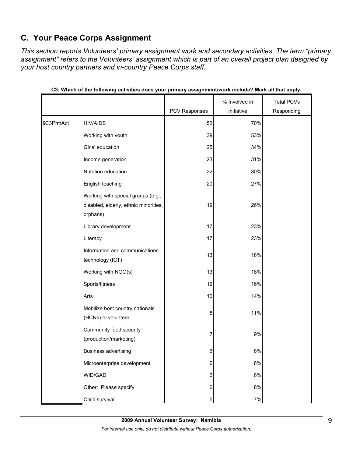# **C. Your Peace Corps Assignment**

*This section reports Volunteers' primary assignment work and secondary activities. The term "primary assignment" refers to the Volunteers' assignment which is part of an overall project plan designed by your host country partners and in-country Peace Corps staff.* 

|            |                                                                                         |               | % Involved in | <b>Total PCVs</b> |
|------------|-----------------------------------------------------------------------------------------|---------------|---------------|-------------------|
|            |                                                                                         | PCV Responses | Initiative    | Responding        |
| \$C3PrmAct | <b>HIV/AIDS</b>                                                                         | 52            | 70%           |                   |
|            | Working with youth                                                                      | 39            | 53%           |                   |
|            | Girls' education                                                                        | 25            | 34%           |                   |
|            | Income generation                                                                       | 23            | 31%           |                   |
|            | Nutrition education                                                                     | 22            | 30%           |                   |
|            | English teaching                                                                        | 20            | 27%           |                   |
|            | Working with special groups (e.g.,<br>disabled, elderly, ethnic minorities,<br>orphans) | 19            | 26%           |                   |
|            | Library development                                                                     | 17            | 23%           |                   |
|            | Literacy                                                                                | 17            | 23%           |                   |
|            | Information and communications<br>technology (ICT)                                      | 13            | 18%           |                   |
|            | Working with NGO(s)                                                                     | 13            | 18%           |                   |
|            | Sports/fitness                                                                          | 12            | 16%           |                   |
|            | Arts                                                                                    | 10            | 14%           |                   |
|            | Mobilize host country nationals<br>(HCNs) to volunteer                                  | 8             | 11%           |                   |
|            | Community food security<br>(production/marketing)                                       | 7             | 9%            |                   |
|            | <b>Business advertising</b>                                                             | c             | 8%            |                   |
|            | Microenterprise development                                                             | 6             | $8%$          |                   |
|            | WID/GAD                                                                                 | 6             | $8%$          |                   |
|            | Other: Please specify                                                                   | 6             | 8%            |                   |
|            | Child survival                                                                          | $\mathbf{5}$  | $7\%$         |                   |

|  |  | C3: Which of the following activities does your primary assignment/work include? Mark all that apply. |
|--|--|-------------------------------------------------------------------------------------------------------|
|  |  |                                                                                                       |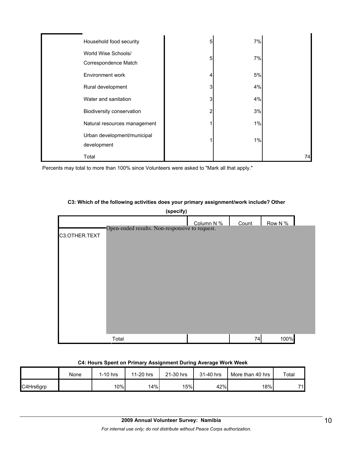| Household food security                     | 5 | 7% |    |
|---------------------------------------------|---|----|----|
| World Wise Schools/<br>Correspondence Match | 5 | 7% |    |
| Environment work                            | 4 | 5% |    |
| Rural development                           | 3 | 4% |    |
| Water and sanitation                        | 3 | 4% |    |
| Biodiversity conservation                   | 2 | 3% |    |
| Natural resources management                |   | 1% |    |
| Urban development/municipal<br>development  |   | 1% |    |
| Total                                       |   |    | 74 |

Percents may total to more than 100% since Volunteers were asked to "Mark all that apply."

### **C3: Which of the following activities does your primary assignment/work include? Other**



# **C4: Hours Spent on Primary Assignment During Average Work Week**

|           | None | $1-10$ hrs | 11-20 hrs | 21-30 hrs | 31-40 hrs | More than 40 hrs | Total |
|-----------|------|------------|-----------|-----------|-----------|------------------|-------|
| C4Hrs6grp |      | 10%        | 14%       | 15%       | 42%       | 18%              | 71    |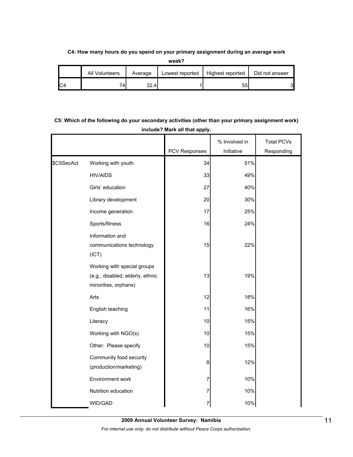### **C4: How many hours do you spend on your primary assignment during an average work**

**week?**

| All Volunteers | Average | Lowest reported | Highest reported | Did not answer |
|----------------|---------|-----------------|------------------|----------------|
| 74             | 32.4    |                 | 55               | 3              |

# **C5: Which of the following do your secondary activities (other than your primary assignment work) include? Mark all that apply.**

|            |                                                                                         |                      | % Involved in | <b>Total PCVs</b> |
|------------|-----------------------------------------------------------------------------------------|----------------------|---------------|-------------------|
|            |                                                                                         | <b>PCV Responses</b> | Initiative    | Responding        |
| \$C5SecAct | Working with youth                                                                      | 34                   | 51%           |                   |
|            | <b>HIV/AIDS</b>                                                                         | 33                   | 49%           |                   |
|            | Girls' education                                                                        | 27                   | 40%           |                   |
|            | Library development                                                                     | 20                   | 30%           |                   |
|            | Income generation                                                                       | 17                   | 25%           |                   |
|            | Sports/fitness                                                                          | 16                   | 24%           |                   |
|            | Information and<br>communications technology<br>(ICT)                                   | 15                   | 22%           |                   |
|            | Working with special groups<br>(e.g., disabled, elderly, ethnic<br>minorities, orphans) | 13                   | 19%           |                   |
|            | Arts                                                                                    | 12                   | 18%           |                   |
|            | English teaching                                                                        | 11                   | 16%           |                   |
|            | Literacy                                                                                | 10                   | 15%           |                   |
|            | Working with NGO(s)                                                                     | 10                   | 15%           |                   |
|            | Other: Please specify                                                                   | 10                   | 15%           |                   |
|            | Community food security<br>(production/marketing)                                       | 8                    | 12%           |                   |
|            | Environment work                                                                        | 7                    | 10%           |                   |
|            | Nutrition education                                                                     | 7                    | 10%           |                   |
|            | WID/GAD                                                                                 | 7                    | 10%           |                   |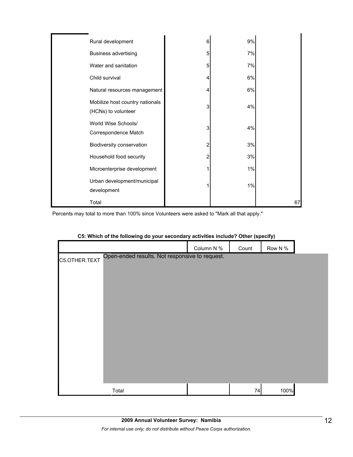| Rural development                                      | 6 | 9% |    |
|--------------------------------------------------------|---|----|----|
| <b>Business advertising</b>                            | 5 | 7% |    |
| Water and sanitation                                   | 5 | 7% |    |
| Child survival                                         | 4 | 6% |    |
| Natural resources management                           | 4 | 6% |    |
| Mobilize host country nationals<br>(HCNs) to volunteer | 3 | 4% |    |
| World Wise Schools/<br>Correspondence Match            | 3 | 4% |    |
| Biodiversity conservation                              | 2 | 3% |    |
| Household food security                                | 2 | 3% |    |
| Microenterprise development                            |   | 1% |    |
| Urban development/municipal<br>development             |   | 1% |    |
| Total                                                  |   |    | 67 |

| C5: Which of the following do your secondary activities include? Other (specify) |  |  |
|----------------------------------------------------------------------------------|--|--|
|----------------------------------------------------------------------------------|--|--|

|               |                                                | Column N % | Count | Row N % |  |
|---------------|------------------------------------------------|------------|-------|---------|--|
| C5.OTHER.TEXT | Open-ended results. Not responsive to request. |            |       |         |  |
|               |                                                |            |       |         |  |
|               |                                                |            |       |         |  |
|               |                                                |            |       |         |  |
|               |                                                |            |       |         |  |
|               |                                                |            |       |         |  |
|               |                                                |            |       |         |  |
|               |                                                |            |       |         |  |
|               |                                                |            |       |         |  |
|               |                                                |            |       |         |  |
|               |                                                |            |       |         |  |
|               | Total                                          |            | 74    | 100%    |  |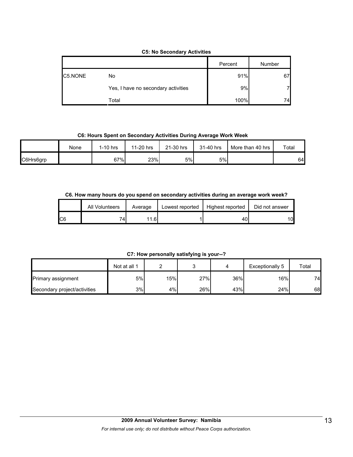### **C5: No Secondary Activities**

|         |                                     | Percent | Number |
|---------|-------------------------------------|---------|--------|
| C5.NONE | No                                  | 91%     | 67     |
|         | Yes, I have no secondary activities | 9%      |        |
|         | Total                               | 100%    | 74     |

### **C6: Hours Spent on Secondary Activities During Average Work Week**

|           | None | 1-10 hrs | 11-20 hrs | 21-30 hrs | 31-40 hrs | More than 40 hrs | Total |
|-----------|------|----------|-----------|-----------|-----------|------------------|-------|
| C6Hrs6grp |      | 67%      | 23%       | 5%        | 5%        |                  | 64    |

### **C6. How many hours do you spend on secondary activities during an average work week?**

|     | All Volunteers | Average | Lowest reported | Highest reported | Did not answer |
|-----|----------------|---------|-----------------|------------------|----------------|
| IC6 | 74             | 11.61   |                 | 40.              | 10             |

## **C7: How personally satisfying is your--?**

|                              | Not at all 1 |     |     |     | Exceptionally 5 | Total |
|------------------------------|--------------|-----|-----|-----|-----------------|-------|
| <b>Primary assignment</b>    | 5%l          | 15% | 27% | 36% | 16%             | 74    |
| Secondary project/activities | 3%           | 4%  | 26% | 43% | 24%             | 68    |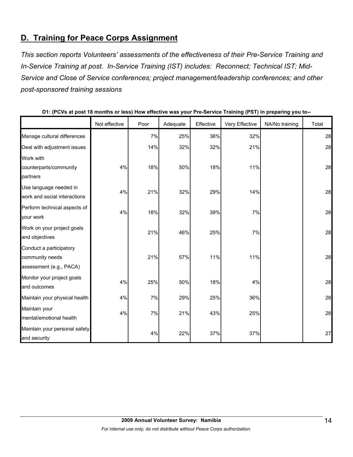# **D. Training for Peace Corps Assignment**

*This section reports Volunteers' assessments of the effectiveness of their Pre-Service Training and In-Service Training at post. In-Service Training (IST) includes: Reconnect; Technical IST; Mid-Service and Close of Service conferences; project management/leadership conferences; and other post-sponsored training sessions* 

|                                                                       | Not effective | Poor | Adequate | Effective | Very Effective | NA/No training | Total |
|-----------------------------------------------------------------------|---------------|------|----------|-----------|----------------|----------------|-------|
| Manage cultural differences                                           |               | 7%   | 25%      | 36%       | 32%            |                | 28    |
| Deal with adjustment issues                                           |               | 14%  | 32%      | 32%       | 21%            |                | 28    |
| Work with                                                             |               |      |          |           |                |                |       |
| counterparts/community                                                | 4%            | 18%  | 50%      | 18%       | 11%            |                | 28    |
| partners                                                              |               |      |          |           |                |                |       |
| Use language needed in<br>work and social interactions                | 4%            | 21%  | 32%      | 29%       | 14%            |                | 28    |
| Perform technical aspects of<br>your work                             | 4%            | 18%  | 32%      | 39%       | $7\%$          |                | 28    |
| Work on your project goals<br>and objectives                          |               | 21%  | 46%      | 25%       | 7%             |                | 28    |
| Conduct a participatory<br>community needs<br>assessment (e.g., PACA) |               | 21%  | 57%      | 11%       | 11%            |                | 28    |
| Monitor your project goals<br>and outcomes                            | 4%            | 25%  | 50%      | 18%       | 4%             |                | 28    |
| Maintain your physical health                                         | 4%            | 7%   | 29%      | 25%       | 36%            |                | 28    |
| Maintain your<br>mental/emotional health                              | 4%            | 7%   | 21%      | 43%       | 25%            |                | 28    |
| Maintain your personal safety<br>and security                         |               | 4%   | 22%      | 37%       | 37%            |                | 27    |

**D1: (PCVs at post 18 months or less) How effective was your Pre-Service Training (PST) in preparing you to--**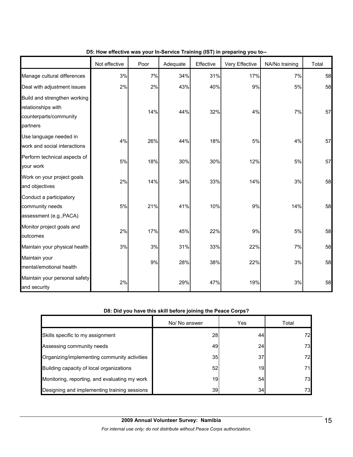|                                                                                          | Not effective | Poor | Adequate | Effective | Very Effective | NA/No training | Total |
|------------------------------------------------------------------------------------------|---------------|------|----------|-----------|----------------|----------------|-------|
| Manage cultural differences                                                              | 3%            | 7%   | 34%      | 31%       | 17%            | 7%             | 58    |
| Deal with adjustment issues                                                              | 2%            | 2%   | 43%      | 40%       | 9%             | 5%             | 58    |
| Build and strengthen working<br>relationships with<br>counterparts/community<br>partners |               | 14%  | 44%      | 32%       | 4%             | 7%             | 57    |
| Use language needed in<br>work and social interactions                                   | 4%            | 26%  | 44%      | 18%       | 5%             | 4%             | 57    |
| Perform technical aspects of<br>your work                                                | 5%            | 18%  | 30%      | 30%       | 12%            | 5%             | 57    |
| Work on your project goals<br>and objectives                                             | 2%            | 14%  | 34%      | 33%       | 14%            | 3%             | 58    |
| Conduct a participatory<br>community needs<br>assessment (e.g., PACA)                    | $5\%$         | 21%  | 41%      | 10%       | 9%             | 14%            | 58    |
| Monitor project goals and<br>outcomes                                                    | 2%            | 17%  | 45%      | 22%       | 9%             | 5%             | 58    |
| Maintain your physical health                                                            | 3%            | 3%   | 31%      | 33%       | 22%            | 7%             | 58    |
| Maintain your<br>mental/emotional health                                                 |               | 9%   | 28%      | 38%       | 22%            | 3%             | 58    |
| Maintain your personal safety<br>and security                                            | 2%            |      | 29%      | 47%       | 19%            | 3%             | 58    |

## **D5: How effective was your In-Service Training (IST) in preparing you to--**

### **D8: Did you have this skill before joining the Peace Corps?**

|                                               | No/ No answer | Yes | Total |
|-----------------------------------------------|---------------|-----|-------|
| Skills specific to my assignment              | <b>28</b>     | 44  | 72    |
| Assessing community needs                     | 49            | 24  | 73    |
| Organizing/implementing community activities  | 35            | 37  | 72    |
| Building capacity of local organizations      | 52            | 19  | 71    |
| Monitoring, reporting, and evaluating my work | 19            | 54  | 73    |
| Designing and implementing training sessions  | 39            | 34  | 73    |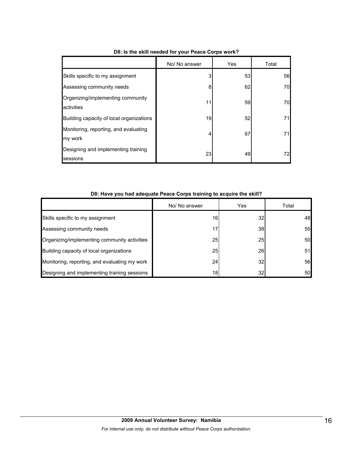|                                                  | No/ No answer | Yes | Total |
|--------------------------------------------------|---------------|-----|-------|
| Skills specific to my assignment                 | 3             | 53  | 56    |
| Assessing community needs                        | 8             | 62  | 70    |
| Organizing/implementing community<br>activities  | 11            | 59  | 70    |
| Building capacity of local organizations         | 19            | 52  | 71    |
| Monitoring, reporting, and evaluating<br>my work | 4             | 67  | 71    |
| Designing and implementing training<br>sessions  | 23            | 49  | 72    |

# **D8: Is the skill needed for your Peace Corps work?**

|                                               | No/ No answer   | Yes             | Total |
|-----------------------------------------------|-----------------|-----------------|-------|
| Skills specific to my assignment              | 16              | 32 <sub>l</sub> | 48    |
| Assessing community needs                     | 17              | <b>38</b>       | 55    |
| Organizing/implementing community activities  | 25              | <b>25</b>       | 50    |
| Building capacity of local organizations      | 25              | 26              | 51    |
| Monitoring, reporting, and evaluating my work | 24              | 32 <sub>l</sub> | 56    |
| Designing and implementing training sessions  | 18 <sub>l</sub> | 32              | 50    |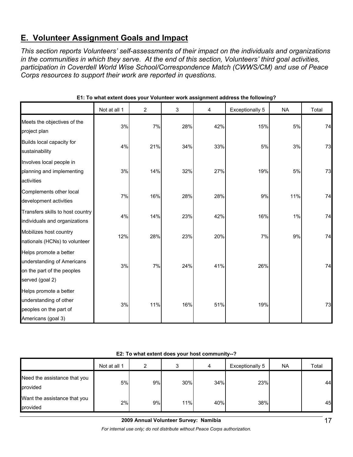# **E. Volunteer Assignment Goals and Impact**

*This section reports Volunteers' self-assessments of their impact on the individuals and organizations in the communities in which they serve. At the end of this section, Volunteers' third goal activities, participation in Coverdell World Wise School/Correspondence Match (CWWS/CM) and use of Peace Corps resources to support their work are reported in questions.* 

|                                                                                                       | Not at all 1 | 2   | 3   | 4   | Exceptionally 5 | <b>NA</b> | Total |
|-------------------------------------------------------------------------------------------------------|--------------|-----|-----|-----|-----------------|-----------|-------|
| Meets the objectives of the<br>project plan                                                           | 3%           | 7%  | 28% | 42% | 15%             | 5%        | 74    |
| Builds local capacity for<br>sustainability                                                           | 4%           | 21% | 34% | 33% | 5%              | 3%        | 73    |
| Involves local people in<br>planning and implementing<br>activities                                   | 3%           | 14% | 32% | 27% | 19%             | 5%        | 73    |
| Complements other local<br>development activities                                                     | 7%           | 16% | 28% | 28% | 9%              | 11%       | 74    |
| Transfers skills to host country<br>individuals and organizations                                     | 4%           | 14% | 23% | 42% | 16%             | 1%        | 74    |
| Mobilizes host country<br>nationals (HCNs) to volunteer                                               | 12%          | 28% | 23% | 20% | 7%              | 9%        | 74    |
| Helps promote a better<br>understanding of Americans<br>on the part of the peoples<br>served (goal 2) | 3%           | 7%  | 24% | 41% | 26%             |           | 74    |
| Helps promote a better<br>understanding of other<br>peoples on the part of<br>Americans (goal 3)      | 3%           | 11% | 16% | 51% | 19%             |           | 73    |

**E1: To what extent does your Volunteer work assignment address the following?**

**E2: To what extent does your host community--?**

|                                          | Not at all 1 | 2  | 3   | 4   | Exceptionally 5 | NA. | Total |
|------------------------------------------|--------------|----|-----|-----|-----------------|-----|-------|
| Need the assistance that you<br>provided | 5%           | 9% | 30% | 34% | 23%             |     | 44    |
| Want the assistance that you<br>provided | 2%           | 9% | 11% | 40% | 38%             |     | 45    |

**2009 Annual Volunteer Survey: Namibia** 

*For internal use only; do not distribute without Peace Corps authorization.*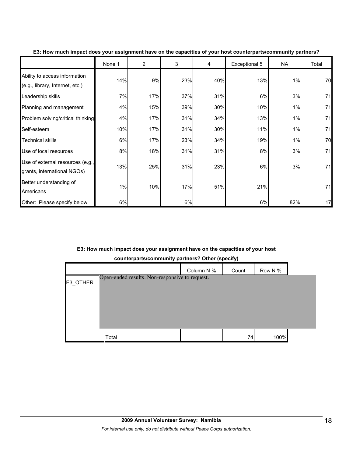|                                                                  | None 1 | $\overline{2}$ | 3   | 4   | Exceptional 5 | <b>NA</b> | Total |
|------------------------------------------------------------------|--------|----------------|-----|-----|---------------|-----------|-------|
| Ability to access information<br>(e.g., library, Internet, etc.) | 14%    | 9%             | 23% | 40% | 13%           | 1%        | 70    |
| Leadership skills                                                | 7%     | 17%            | 37% | 31% | 6%            | 3%        | 71    |
| Planning and management                                          | 4%     | 15%            | 39% | 30% | 10%           | 1%        | 71    |
| Problem solving/critical thinking                                | 4%     | 17%            | 31% | 34% | 13%           | 1%        | 71    |
| Self-esteem                                                      | 10%    | 17%            | 31% | 30% | 11%           | 1%        | 71    |
| <b>Technical skills</b>                                          | 6%     | 17%            | 23% | 34% | 19%           | 1%        | 70    |
| Use of local resources                                           | 8%     | 18%            | 31% | 31% | 8%            | 3%        | 71    |
| Use of external resources (e.g.,<br>grants, international NGOs)  | 13%    | 25%            | 31% | 23% | 6%            | 3%        | 71    |
| Better understanding of<br>Americans                             | 1%     | 10%            | 17% | 51% | 21%           |           | 71    |
| Other: Please specify below                                      | 6%     |                | 6%  |     | 6%            | 82%       | 17    |

**E3: How much impact does your assignment have on the capacities of your host counterparts/community partners?**

# **E3: How much impact does your assignment have on the capacities of your host**

**counterparts/community partners? Other (specify)**

|          |                                                | Column N % | Count | Row N % |  |
|----------|------------------------------------------------|------------|-------|---------|--|
| E3_OTHER | Open-ended results. Non-responsive to request. |            |       |         |  |
|          |                                                |            |       |         |  |
|          |                                                |            |       |         |  |
|          |                                                |            |       |         |  |
|          |                                                |            |       |         |  |
|          | Total                                          |            | 74    | 100%    |  |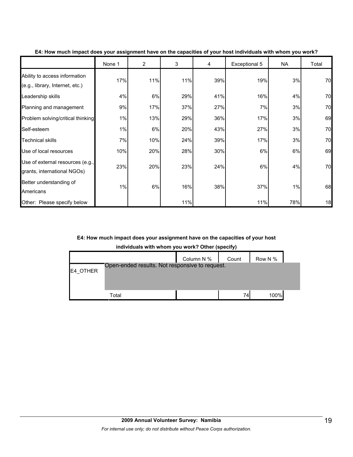|                                                                  | None 1 | 2   | 3   | 4   | Exceptional 5 | NA  | Total |
|------------------------------------------------------------------|--------|-----|-----|-----|---------------|-----|-------|
| Ability to access information<br>(e.g., library, Internet, etc.) | 17%    | 11% | 11% | 39% | 19%           | 3%  | 70    |
| Leadership skills                                                | 4%     | 6%  | 29% | 41% | 16%           | 4%  | 70    |
| Planning and management                                          | 9%     | 17% | 37% | 27% | 7%            | 3%  | 70    |
| Problem solving/critical thinking                                | 1%     | 13% | 29% | 36% | 17%           | 3%  | 69    |
| Self-esteem                                                      | 1%     | 6%  | 20% | 43% | 27%           | 3%  | 70    |
| <b>Technical skills</b>                                          | 7%     | 10% | 24% | 39% | 17%           | 3%  | 70    |
| Use of local resources                                           | 10%    | 20% | 28% | 30% | 6%            | 6%  | 69    |
| Use of external resources (e.g.,<br>grants, international NGOs)  | 23%    | 20% | 23% | 24% | 6%            | 4%  | 70    |
| Better understanding of<br>Americans                             | 1%     | 6%  | 16% | 38% | 37%           | 1%  | 68    |
| Other: Please specify below                                      |        |     | 11% |     | 11%           | 78% | 18    |

**E4: How much impact does your assignment have on the capacities of your host individuals with whom you work?**

### **E4: How much impact does your assignment have on the capacities of your host**

**individuals with whom you work? Other (specify)**

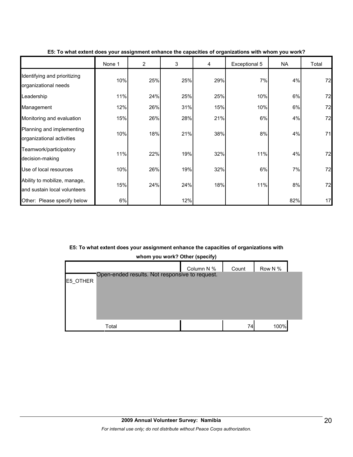|                                                              | None 1 | $\overline{2}$ | 3   | 4   | Exceptional 5 | <b>NA</b> | Total |
|--------------------------------------------------------------|--------|----------------|-----|-----|---------------|-----------|-------|
| Identifying and prioritizing<br>organizational needs         | 10%    | 25%            | 25% | 29% | 7%            | 4%        | 72    |
| Leadership                                                   | 11%    | 24%            | 25% | 25% | 10%           | 6%        | 72    |
| Management                                                   | 12%    | 26%            | 31% | 15% | 10%           | 6%        | 72    |
| Monitoring and evaluation                                    | 15%    | 26%            | 28% | 21% | 6%            | 4%        | 72    |
| Planning and implementing<br>organizational activities       | 10%    | 18%            | 21% | 38% | 8%            | 4%        | 71    |
| Teamwork/participatory<br>decision-making                    | 11%    | 22%            | 19% | 32% | 11%           | 4%        | 72    |
| Use of local resources                                       | 10%    | 26%            | 19% | 32% | 6%            | 7%        | 72    |
| Ability to mobilize, manage,<br>and sustain local volunteers | 15%    | 24%            | 24% | 18% | 11%           | 8%        | 72    |
| Other: Please specify below                                  | 6%     |                | 12% |     |               | 82%       | 17    |

**E5: To what extent does your assignment enhance the capacities of organizations with whom you work?**

## **E5: To what extent does your assignment enhance the capacities of organizations with**

|                 |                                                | Column N % | Count | Row N % |  |
|-----------------|------------------------------------------------|------------|-------|---------|--|
| <b>E5 OTHER</b> | Open-ended results. Not responsive to request. |            |       |         |  |
|                 |                                                |            |       |         |  |
|                 | Total                                          |            | 74    | 100%    |  |

**whom you work? Other (specify)**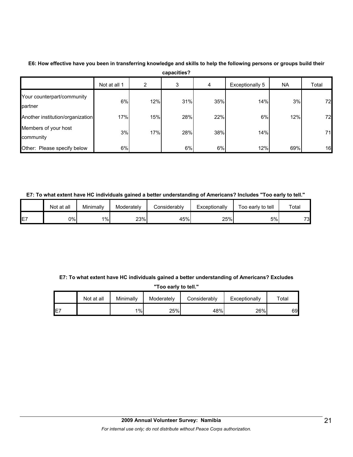|                                       | capacities?  |     |     |     |                 |           |       |  |
|---------------------------------------|--------------|-----|-----|-----|-----------------|-----------|-------|--|
|                                       | Not at all 1 | 2   | 3   | 4   | Exceptionally 5 | <b>NA</b> | Total |  |
| Your counterpart/community<br>partner | 6%           | 12% | 31% | 35% | 14%             | 3%        | 72    |  |
| Another institution/organization      | 17%          | 15% | 28% | 22% | 6%              | 12%       | 72    |  |
| Members of your host<br>community     | 3%           | 17% | 28% | 38% | 14%             |           | 71    |  |
| Other: Please specify below           | 6%           |     | 6%  | 6%  | 12%             | 69%       | 16    |  |

## **E6: How effective have you been in transferring knowledge and skills to help the following persons or groups build their**

### **E7: To what extent have HC individuals gained a better understanding of Americans? Includes "Too early to tell."**

|             | Not at all | Minimally | Moderately | Considerably | Exceptionally | Too early to tell | Total |
|-------------|------------|-----------|------------|--------------|---------------|-------------------|-------|
| $- -$<br>E7 | 0%I        | $1\%$     | 23%        | 45%          | 25%           | 5%l               | 73    |

## **E7: To what extent have HC individuals gained a better understanding of Americans? Excludes**

| "Too early to tell."                                                            |  |    |     |     |     |    |  |
|---------------------------------------------------------------------------------|--|----|-----|-----|-----|----|--|
| Minimally<br>Not at all<br>Moderately<br>Considerably<br>Exceptionally<br>™otal |  |    |     |     |     |    |  |
| E7                                                                              |  | 1% | 25% | 48% | 26% | 69 |  |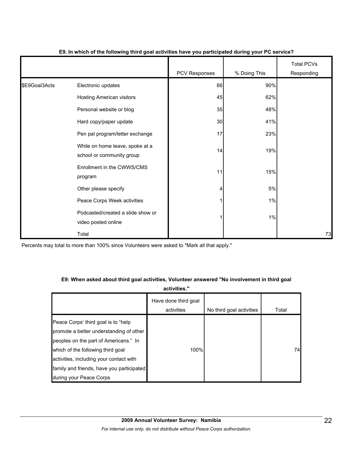|               |                                                              | <b>PCV Responses</b> | % Doing This | <b>Total PCVs</b><br>Responding |
|---------------|--------------------------------------------------------------|----------------------|--------------|---------------------------------|
| \$E9Goal3Acts | Electronic updates                                           | 66                   | 90%          |                                 |
|               | <b>Hosting American visitors</b>                             | 45                   | 62%          |                                 |
|               | Personal website or blog                                     | 35                   | 48%          |                                 |
|               | Hard copy/paper update                                       | 30                   | 41%          |                                 |
|               | Pen pal program/letter exchange                              | 17                   | 23%          |                                 |
|               | While on home leave, spoke at a<br>school or community group | 14                   | 19%          |                                 |
|               | Enrollment in the CWWS/CMS<br>program                        | 11                   | 15%          |                                 |
|               | Other please specify                                         | 4                    | $5\%$        |                                 |
|               | Peace Corps Week activities                                  | 1                    | 1%           |                                 |
|               | Podcasted/created a slide show or<br>video posted online     | 1                    | 1%           |                                 |
|               | Total                                                        |                      |              | 73                              |

### **E9. In which of the following third goal activities have you participated during your PC service?**

Percents may total to more than 100% since Volunteers were asked to "Mark all that apply."

## **E9: When asked about third goal activities, Volunteer answered "No involvement in third goal**

**activities."** 

|                                                                                 | Have done third goal<br>activities | No third goal activities | Total |
|---------------------------------------------------------------------------------|------------------------------------|--------------------------|-------|
| Peace Corps' third goal is to "help"<br>promote a better understanding of other |                                    |                          |       |
| peoples on the part of Americans." In<br>which of the following third goal      | 100%                               |                          | 74    |
| activities, including your contact with                                         |                                    |                          |       |
| family and friends, have you participated                                       |                                    |                          |       |
| during your Peace Corps                                                         |                                    |                          |       |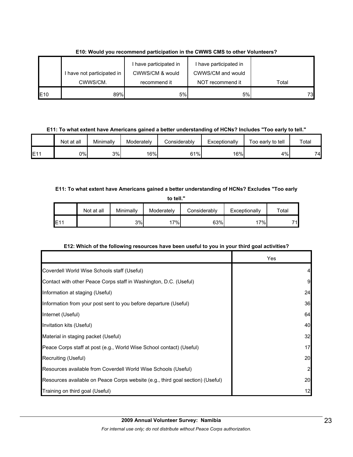|             | I have not participated in | have participated in<br>CWWS/CM & would | I have participated in<br>CWWS/CM and would |       |
|-------------|----------------------------|-----------------------------------------|---------------------------------------------|-------|
|             | CWWS/CM.                   | recommend it                            | NOT recommend it                            | Total |
| <b>IE10</b> | 89%                        | 5%l                                     | 5%                                          | 73    |

**E10: Would you recommend participation in the CWWS CMS to other Volunteers?**

### **E11: To what extent have Americans gained a better understanding of HCNs? Includes "Too early to tell."**

|     | Not at all | Minimally | Moderatelv       | Considerably | Exceptionally | Too early to tell | Total |
|-----|------------|-----------|------------------|--------------|---------------|-------------------|-------|
| E1' | 0%l        | 3%        | 16% <sub>I</sub> | 61%          | 16%           | 4%                | 74.   |

### **E11: To what extent have Americans gained a better understanding of HCNs? Excludes "Too early**

| to tell."       |            |           |            |              |               |       |  |  |  |  |
|-----------------|------------|-----------|------------|--------------|---------------|-------|--|--|--|--|
|                 | Not at all | Minimally | Moderately | Considerably | Exceptionally | Total |  |  |  |  |
| E <sub>11</sub> |            | 3%        | 17%        | 63%          | 17%           | 71    |  |  |  |  |

## **E12: Which of the following resources have been useful to you in your third goal activities?**

|                                                                                | Yes            |
|--------------------------------------------------------------------------------|----------------|
| Coverdell World Wise Schools staff (Useful)                                    | 4              |
| Contact with other Peace Corps staff in Washington, D.C. (Useful)              | 9              |
| Information at staging (Useful)                                                | 24             |
| Information from your post sent to you before departure (Useful)               | 36             |
| Internet (Useful)                                                              | 64             |
| Invitation kits (Useful)                                                       | 40             |
| Material in staging packet (Useful)                                            | 32             |
| Peace Corps staff at post (e.g., World Wise School contact) (Useful)           | 17             |
| Recruiting (Useful)                                                            | 20             |
| Resources available from Coverdell World Wise Schools (Useful)                 | $\overline{2}$ |
| Resources available on Peace Corps website (e.g., third goal section) (Useful) | 20             |
| Training on third goal (Useful)                                                | 12             |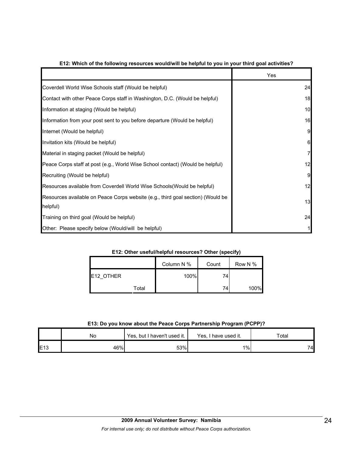|                                                                                 | Yes |
|---------------------------------------------------------------------------------|-----|
| Coverdell World Wise Schools staff (Would be helpful)                           | 24  |
| Contact with other Peace Corps staff in Washington, D.C. (Would be helpful)     | 18  |
| Information at staging (Would be helpful)                                       | 10  |
| Information from your post sent to you before departure (Would be helpful)      | 16  |
| Internet (Would be helpful)                                                     | 9   |
| Invitation kits (Would be helpful)                                              | 6   |
| Material in staging packet (Would be helpful)                                   | 7   |
| Peace Corps staff at post (e.g., World Wise School contact) (Would be helpful)  | 12  |
| Recruiting (Would be helpful)                                                   | 9   |
| Resources available from Coverdell World Wise Schools (Would be helpful)        | 12  |
| Resources available on Peace Corps website (e.g., third goal section) (Would be | 13  |
| helpful)                                                                        |     |
| Training on third goal (Would be helpful)                                       | 24  |
| Other: Please specify below (Would/will be helpful)                             |     |

### **E12: Which of the following resources would/will be helpful to you in your third goal activities?**

### **E12: Other useful/helpful resources? Other (specify)**

|                   | Column N % | Count | Row N % |
|-------------------|------------|-------|---------|
| <b>IE12 OTHER</b> | 100%       | 74    |         |
| Total             |            | 74    | 100%    |

### **E13: Do you know about the Peace Corps Partnership Program (PCPP)?**

|                 | No  | Yes, but I haven't used it. | Yes.<br>I have used it. | Total |  |
|-----------------|-----|-----------------------------|-------------------------|-------|--|
| E <sub>13</sub> | 46% | 53%                         | $1\%$                   | 74    |  |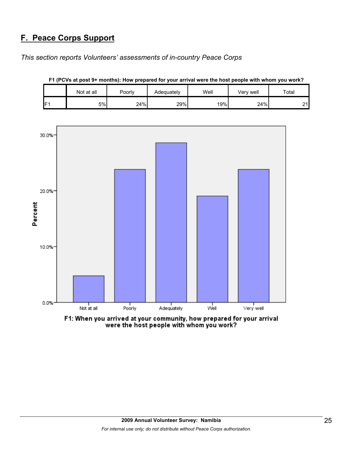# **F. Peace Corps Support**

*This section reports Volunteers' assessments of in-country Peace Corps* 

|     | Not at all | Poorly | Adequately | Well | Very well | Total         |
|-----|------------|--------|------------|------|-----------|---------------|
| IF1 | 5%         | 24%    | 29%        | 19%  | 24%       | ິ<br><u>.</u> |

**F1 (PCVs at post 9+ months): How prepared for your arrival were the host people with whom you work?**



F1: When you arrived at your community, how prepared for your arrival were the host people with whom you work?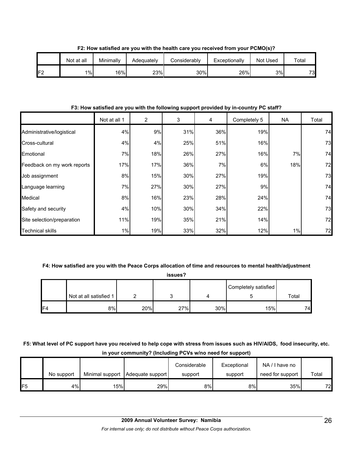|                 | Not at all | Minimally | Adequatelv | Considerably | Exceptionally | <b>Not Used</b> | $\tau$ otal |
|-----------------|------------|-----------|------------|--------------|---------------|-----------------|-------------|
| IF <sub>2</sub> | 1%         | 16%       | 23%        | 30%          | 26%           | 3%              | 73          |

**F2: How satisfied are you with the health care you received from your PCMO(s)?**

### **F3: How satisfied are you with the following support provided by in-country PC staff?**

|                             | Not at all 1 | $\overline{c}$ | 3   | 4   | Completely 5 | <b>NA</b> | Total |
|-----------------------------|--------------|----------------|-----|-----|--------------|-----------|-------|
| Administrative/logistical   | 4%           | 9%             | 31% | 36% | 19%          |           | 74    |
| Cross-cultural              | 4%           | 4%             | 25% | 51% | 16%          |           | 73    |
| Emotional                   | 7%           | 18%            | 26% | 27% | 16%          | 7%        | 74    |
| Feedback on my work reports | 17%          | 17%            | 36% | 7%  | 6%           | 18%       | 72    |
| Job assignment              | 8%           | 15%            | 30% | 27% | 19%          |           | 73    |
| Language learning           | 7%           | 27%            | 30% | 27% | 9%           |           | 74    |
| Medical                     | 8%           | 16%            | 23% | 28% | 24%          |           | 74    |
| Safety and security         | 4%           | 10%            | 30% | 34% | 22%          |           | 73    |
| Site selection/preparation  | 11%          | 19%            | 35% | 21% | 14%          |           | 72    |
| <b>Technical skills</b>     | 1%           | 19%            | 33% | 32% | 12%          | 1%        | 72    |

## **F4: How satisfied are you with the Peace Corps allocation of time and resources to mental health/adjustment**

|                |                        |     |     | Completely satisfied |     |       |
|----------------|------------------------|-----|-----|----------------------|-----|-------|
|                | Not at all satisfied 1 |     |     |                      |     | Total |
| F <sub>4</sub> | 8%                     | 20% | 27% | 30%                  | 15% | 74    |

**F5: What level of PC support have you received to help cope with stress from issues such as HIV/AIDS, food insecurity, etc. in your community? (Including PCVs w/no need for support)**

|                 | No support | Minimal support | Adequate support | Considerable<br>support | Exceptional<br>support | NA/I have no<br>need for support | Total |
|-----------------|------------|-----------------|------------------|-------------------------|------------------------|----------------------------------|-------|
| IF <sub>5</sub> | 4%         | 15%             | 29%              | 8%                      | 8%                     | 35%                              | 72    |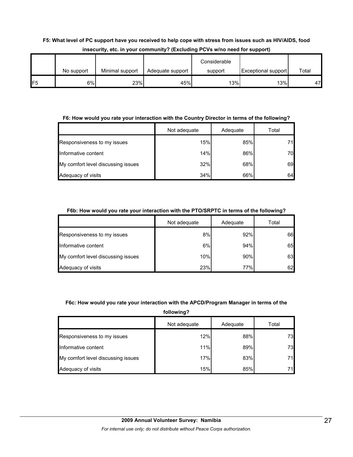# **F5: What level of PC support have you received to help cope with stress from issues such as HIV/AIDS, food insecurity, etc. in your community? (Excluding PCVs w/no need for support)**

|                 |            |                 |                  | Considerable |                            |       |
|-----------------|------------|-----------------|------------------|--------------|----------------------------|-------|
|                 | No support | Minimal support | Adequate support | support      | <b>Exceptional support</b> | Total |
| IF <sub>5</sub> | 6%         | 23%             | 45%              | 13%          | 13%                        | 47    |

### **F6: How would you rate your interaction with the Country Director in terms of the following?**

|                                    | Not adequate | Adequate | Total |
|------------------------------------|--------------|----------|-------|
| Responsiveness to my issues        | 15%          | 85%      | 71    |
| Informative content                | 14%          | 86%      | 70    |
| My comfort level discussing issues | 32%          | 68%      | 69    |
| Adequacy of visits                 | 34%          | 66%      | 64    |

### **F6b: How would you rate your interaction with the PTO/SRPTC in terms of the following?**

|                                    | Not adequate | Adequate | Total |
|------------------------------------|--------------|----------|-------|
| Responsiveness to my issues        | 8%           | 92%      | 66    |
| Informative content                | 6%           | 94%      | 65    |
| My comfort level discussing issues | 10%          | 90%      | 63    |
| Adequacy of visits                 | 23%          | 77%      | 62    |

## **F6c: How would you rate your interaction with the APCD/Program Manager in terms of the**

**following?**

|                                    | Not adequate | Adequate | Total |
|------------------------------------|--------------|----------|-------|
| Responsiveness to my issues        | 12%          | 88%      | 73    |
| Informative content                | 11%          | 89%      | 73    |
| My comfort level discussing issues | 17%          | 83%      | 71    |
| Adequacy of visits                 | 15%          | 85%      | 711   |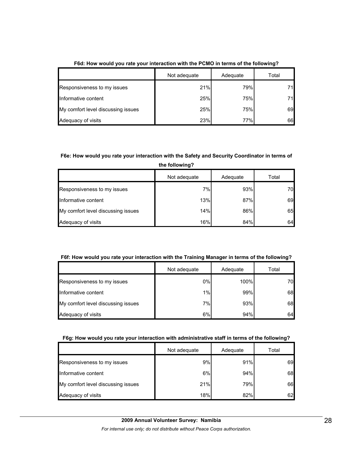|                                    | Not adequate | Adequate | Total |
|------------------------------------|--------------|----------|-------|
| Responsiveness to my issues        | 21%          | 79%      |       |
| Informative content                | 25%          | 75%      |       |
| My comfort level discussing issues | 25%          | 75%      | 69    |
| Adequacy of visits                 | 23%          | 77%      | 66    |

**F6d: How would you rate your interaction with the PCMO in terms of the following?**

## **F6e: How would you rate your interaction with the Safety and Security Coordinator in terms of**

**the following?**

|                                    | Not adequate | Adequate | Total |
|------------------------------------|--------------|----------|-------|
| Responsiveness to my issues        | 7%           | 93%      | 70    |
| Informative content                | 13%          | 87%      | 69    |
| My comfort level discussing issues | 14%          | 86%      | 65    |
| Adequacy of visits                 | 16%          | 84%      | 64    |

### **F6f: How would you rate your interaction with the Training Manager in terms of the following?**

|                                    | Not adequate | Adequate | Total |
|------------------------------------|--------------|----------|-------|
| Responsiveness to my issues        | 0%           | 100%     | 70    |
| Informative content                | 1%           | 99%      | 68    |
| My comfort level discussing issues | 7%           | 93%      | 68    |
| Adequacy of visits                 | 6%           | 94%      | 64    |

### **F6g: How would you rate your interaction with administrative staff in terms of the following?**

|                                    | Not adequate | Adequate | Total |
|------------------------------------|--------------|----------|-------|
| Responsiveness to my issues        | 9%           | 91%      | 69    |
| Informative content                | 6%           | 94%      | 68    |
| My comfort level discussing issues | 21%          | 79%      | 66    |
| Adequacy of visits                 | 18%          | 82%      | 62    |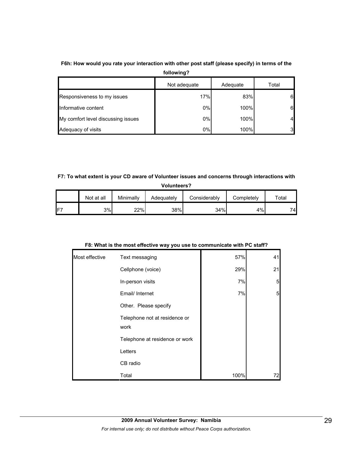# **F6h: How would you rate your interaction with other post staff (please specify) in terms of the**

**following?**

|                                    | Not adequate | Adequate | Total          |
|------------------------------------|--------------|----------|----------------|
| Responsiveness to my issues        | 17%          | 83%      | 6              |
| Informative content                | 0%           | 100%     | 6              |
| My comfort level discussing issues | 0%           | 100%     | 4              |
| Adequacy of visits                 | 0%           | 100%     | 3 <sup>l</sup> |

# **F7: To what extent is your CD aware of Volunteer issues and concerns through interactions with**

|    | <b>Volunteers?</b> |           |            |              |            |             |
|----|--------------------|-----------|------------|--------------|------------|-------------|
|    | Not at all         | Minimally | Adequately | Considerably | Completely | $\tau$ otal |
| Е7 | 3%                 | 22%       | 38%        | 34%          | 4%         | 74          |

# **F8: What is the most effective way you use to communicate with PC staff?**

| Most effective | Text messaging                        | 57%  | 41              |
|----------------|---------------------------------------|------|-----------------|
|                | Cellphone (voice)                     | 29%  | 21              |
|                | In-person visits                      | 7%   | $5\overline{)}$ |
|                | Email/ Internet                       | 7%   | $5\overline{a}$ |
|                | Other. Please specify                 |      |                 |
|                | Telephone not at residence or<br>work |      |                 |
|                | Telephone at residence or work        |      |                 |
|                | Letters                               |      |                 |
|                | CB radio                              |      |                 |
|                | Total                                 | 100% | 72              |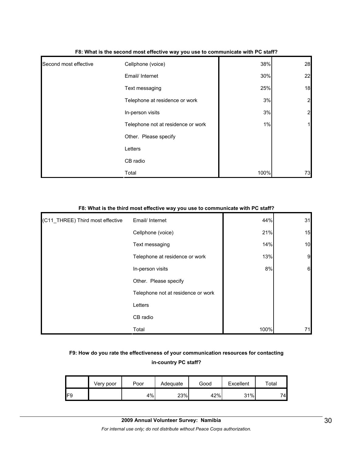| Second most effective | Cellphone (voice)                  | 38%  | 28             |
|-----------------------|------------------------------------|------|----------------|
|                       | Email/ Internet                    | 30%  | 22             |
|                       | Text messaging                     | 25%  | 18             |
|                       | Telephone at residence or work     | 3%   | $\overline{a}$ |
|                       | In-person visits                   | 3%   | $\overline{a}$ |
|                       | Telephone not at residence or work | 1%   | 1              |
|                       | Other. Please specify              |      |                |
|                       | Letters                            |      |                |
|                       | CB radio                           |      |                |
|                       | Total                              | 100% | 73             |

#### **F8: What is the second most effective way you use to communicate with PC staff?**

#### **F8: What is the third most effective way you use to communicate with PC staff?**

| (C11_THREE) Third most effective | Email/ Internet                    | 44%  | 31 |
|----------------------------------|------------------------------------|------|----|
|                                  | Cellphone (voice)                  | 21%  | 15 |
|                                  | Text messaging                     | 14%  | 10 |
|                                  | Telephone at residence or work     | 13%  | 9  |
|                                  | In-person visits                   | 8%   | 6  |
|                                  | Other. Please specify              |      |    |
|                                  | Telephone not at residence or work |      |    |
|                                  | Letters                            |      |    |
|                                  | CB radio                           |      |    |
|                                  | Total                              | 100% | 71 |

# **F9: How do you rate the effectiveness of your communication resources for contacting in-country PC staff?**

|     | Very poor | Poor | Adequate | Good | Excellent | $\tau$ otal |
|-----|-----------|------|----------|------|-----------|-------------|
| IF9 |           | 4%   | 23%      | 42%  | 31%       | 74          |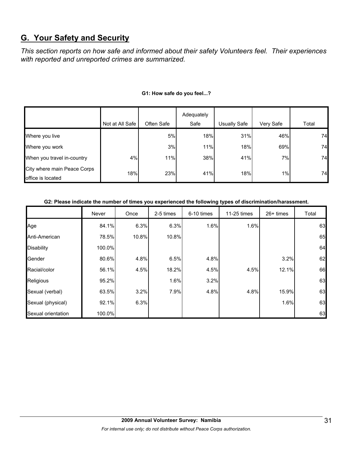# **G. Your Safety and Security**

*This section reports on how safe and informed about their safety Volunteers feel. Their experiences with reported and unreported crimes are summarized.* 

|                             |                 |            | Adequately |                     |           |       |
|-----------------------------|-----------------|------------|------------|---------------------|-----------|-------|
|                             | Not at All Safe | Often Safe | Safe       | <b>Usually Safe</b> | Very Safe | Total |
| Where you live              |                 | 5%         | 18%        | 31%                 | 46%       | 74    |
| Where you work              |                 | 3%         | 11%        | 18%                 | 69%       | 74    |
| When you travel in-country  | 4%              | 11%        | 38%        | 41%                 | 7%        | 74    |
| City where main Peace Corps | 18%             | 23%        | 41%        | 18%                 | $1\%$     | 74    |
| office is located           |                 |            |            |                     |           |       |

### **G1: How safe do you feel...?**

### **G2: Please indicate the number of times you experienced the following types of discrimination/harassment.**

|                    | Never  | Once  | 2-5 times | 6-10 times | 11-25 times | $26+$ times | Total |
|--------------------|--------|-------|-----------|------------|-------------|-------------|-------|
| Age                | 84.1%  | 6.3%  | 6.3%      | 1.6%       | 1.6%        |             | 63    |
| Anti-American      | 78.5%  | 10.8% | 10.8%     |            |             |             | 65    |
| <b>Disability</b>  | 100.0% |       |           |            |             |             | 64    |
| Gender             | 80.6%  | 4.8%  | 6.5%      | 4.8%       |             | 3.2%        | 62    |
| Racial/color       | 56.1%  | 4.5%  | 18.2%     | 4.5%       | 4.5%        | 12.1%       | 66    |
| Religious          | 95.2%  |       | 1.6%      | 3.2%       |             |             | 63    |
| Sexual (verbal)    | 63.5%  | 3.2%  | 7.9%      | 4.8%       | 4.8%        | 15.9%       | 63    |
| Sexual (physical)  | 92.1%  | 6.3%  |           |            |             | 1.6%        | 63    |
| Sexual orientation | 100.0% |       |           |            |             |             | 63    |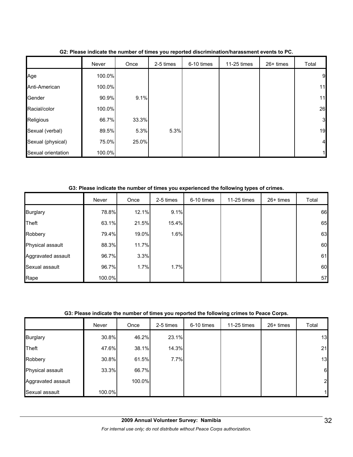|                    | Never  | Once  | 2-5 times | 6-10 times | 11-25 times | 26+ times | Total          |
|--------------------|--------|-------|-----------|------------|-------------|-----------|----------------|
| Age                | 100.0% |       |           |            |             |           | 9              |
| Anti-American      | 100.0% |       |           |            |             |           | 11             |
| Gender             | 90.9%  | 9.1%  |           |            |             |           | 11             |
| Racial/color       | 100.0% |       |           |            |             |           | 26             |
| Religious          | 66.7%  | 33.3% |           |            |             |           | 3              |
| Sexual (verbal)    | 89.5%  | 5.3%  | 5.3%      |            |             |           | 19             |
| Sexual (physical)  | 75.0%  | 25.0% |           |            |             |           | $\overline{4}$ |
| Sexual orientation | 100.0% |       |           |            |             |           |                |

**G2: Please indicate the number of times you reported discrimination/harassment events to PC.**

**G3: Please indicate the number of times you experienced the following types of crimes.**

|                    | Never  | Once  | 2-5 times | 6-10 times | 11-25 times | 26+ times | Total |
|--------------------|--------|-------|-----------|------------|-------------|-----------|-------|
| <b>Burglary</b>    | 78.8%  | 12.1% | 9.1%      |            |             |           | 66    |
| Theft              | 63.1%  | 21.5% | 15.4%     |            |             |           | 65    |
| Robbery            | 79.4%  | 19.0% | 1.6%      |            |             |           | 63    |
| Physical assault   | 88.3%  | 11.7% |           |            |             |           | 60    |
| Aggravated assault | 96.7%  | 3.3%  |           |            |             |           | 61    |
| Sexual assault     | 96.7%  | 1.7%  | 1.7%      |            |             |           | 60    |
| Rape               | 100.0% |       |           |            |             |           | 57    |

### **G3: Please indicate the number of times you reported the following crimes to Peace Corps.**

|                    | Never  | Once   | 2-5 times | 6-10 times | 11-25 times | 26+ times | Total            |
|--------------------|--------|--------|-----------|------------|-------------|-----------|------------------|
| <b>Burglary</b>    | 30.8%  | 46.2%  | 23.1%     |            |             |           | 13               |
| Theft              | 47.6%  | 38.1%  | 14.3%     |            |             |           | 21               |
| Robbery            | 30.8%  | 61.5%  | 7.7%      |            |             |           | 13               |
| Physical assault   | 33.3%  | 66.7%  |           |            |             |           | $6 \overline{6}$ |
| Aggravated assault |        | 100.0% |           |            |             |           | $\overline{c}$   |
| Sexual assault     | 100.0% |        |           |            |             |           | 11               |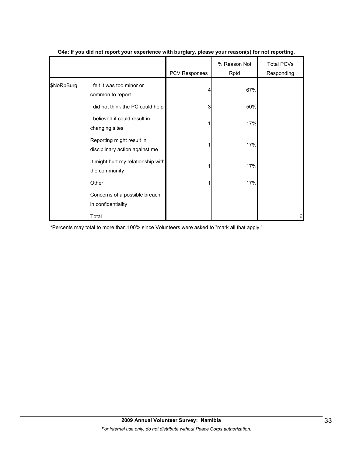|            |                                                             |               | % Reason Not | <b>Total PCVs</b> |
|------------|-------------------------------------------------------------|---------------|--------------|-------------------|
|            |                                                             | PCV Responses | Rptd         | Responding        |
| \$NoRpBurg | I felt it was too minor or<br>common to report              |               | 67%          |                   |
|            | I did not think the PC could help                           | 3             | 50%          |                   |
|            | I believed it could result in<br>changing sites             |               | 17%          |                   |
|            | Reporting might result in<br>disciplinary action against me |               | 17%          |                   |
|            | It might hurt my relationship with<br>the community         |               | 17%          |                   |
|            | Other                                                       |               | 17%          |                   |
|            | Concerns of a possible breach<br>in confidentiality         |               |              |                   |
|            | Total                                                       |               |              | 6                 |

### **G4a: If you did not report your experience with burglary, please your reason(s) for not reporting.**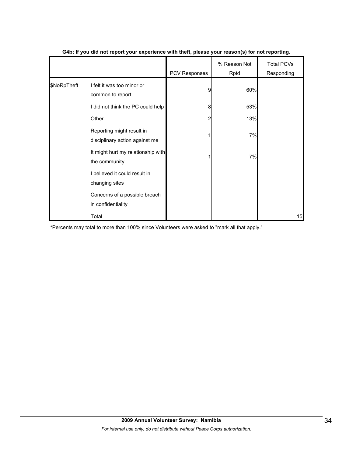|             |                                                             |                      | % Reason Not | <b>Total PCVs</b> |
|-------------|-------------------------------------------------------------|----------------------|--------------|-------------------|
|             |                                                             | <b>PCV Responses</b> | Rptd         | Responding        |
| \$NoRpTheft | I felt it was too minor or<br>common to report              | 9                    | 60%          |                   |
|             | I did not think the PC could help                           | 8                    | 53%          |                   |
|             | Other                                                       | 2                    | 13%          |                   |
|             | Reporting might result in<br>disciplinary action against me |                      | 7%           |                   |
|             | It might hurt my relationship with<br>the community         |                      | 7%           |                   |
|             | I believed it could result in<br>changing sites             |                      |              |                   |
|             | Concerns of a possible breach<br>in confidentiality         |                      |              |                   |
|             | Total                                                       |                      |              | 15                |

### **G4b: If you did not report your experience with theft, please your reason(s) for not reporting.**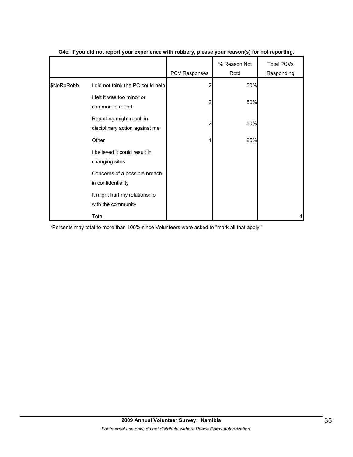|            |                                                             | PCV Responses | % Reason Not<br>Rptd | <b>Total PCVs</b><br>Responding |
|------------|-------------------------------------------------------------|---------------|----------------------|---------------------------------|
| \$NoRpRobb | I did not think the PC could help                           |               | 50%                  |                                 |
|            | I felt it was too minor or<br>common to report              | 2             | 50%                  |                                 |
|            | Reporting might result in<br>disciplinary action against me | 2             | 50%                  |                                 |
|            | Other                                                       |               | 25%                  |                                 |
|            | I believed it could result in<br>changing sites             |               |                      |                                 |
|            | Concerns of a possible breach<br>in confidentiality         |               |                      |                                 |
|            | It might hurt my relationship<br>with the community         |               |                      |                                 |
|            | Total                                                       |               |                      |                                 |

### **G4c: If you did not report your experience with robbery, please your reason(s) for not reporting.**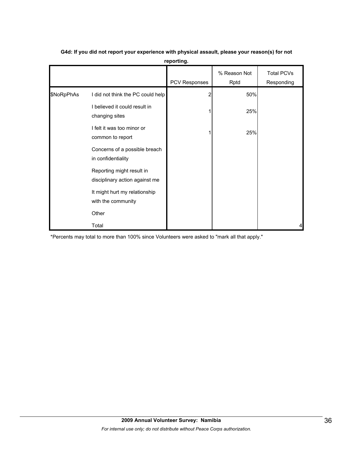|            |                                                             | <b>PCV Responses</b> | % Reason Not<br>Rptd | <b>Total PCVs</b><br>Responding |
|------------|-------------------------------------------------------------|----------------------|----------------------|---------------------------------|
| \$NoRpPhAs | I did not think the PC could help                           |                      | 50%                  |                                 |
|            | I believed it could result in<br>changing sites             |                      | 25%                  |                                 |
|            | I felt it was too minor or<br>common to report              |                      | 25%                  |                                 |
|            | Concerns of a possible breach<br>in confidentiality         |                      |                      |                                 |
|            | Reporting might result in<br>disciplinary action against me |                      |                      |                                 |
|            | It might hurt my relationship<br>with the community         |                      |                      |                                 |
|            | Other                                                       |                      |                      |                                 |
|            | Total                                                       |                      |                      | 4                               |

# **G4d: If you did not report your experience with physical assault, please your reason(s) for not reporting.**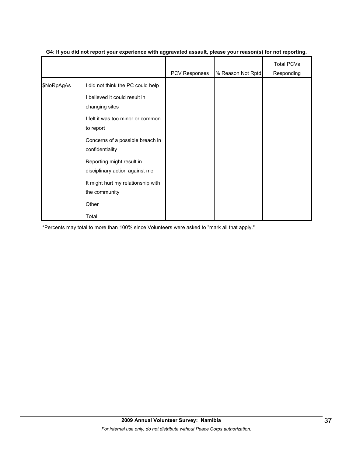|            |                                                                    | <b>PCV Responses</b> | % Reason Not Rptd | <b>Total PCVs</b><br>Responding |
|------------|--------------------------------------------------------------------|----------------------|-------------------|---------------------------------|
| \$NoRpAgAs | I did not think the PC could help<br>I believed it could result in |                      |                   |                                 |
|            | changing sites<br>I felt it was too minor or common<br>to report   |                      |                   |                                 |
|            | Concerns of a possible breach in<br>confidentiality                |                      |                   |                                 |
|            | Reporting might result in<br>disciplinary action against me        |                      |                   |                                 |
|            | It might hurt my relationship with<br>the community                |                      |                   |                                 |
|            | Other                                                              |                      |                   |                                 |
|            | Total                                                              |                      |                   |                                 |

### **G4: If you did not report your experience with aggravated assault, please your reason(s) for not reporting.**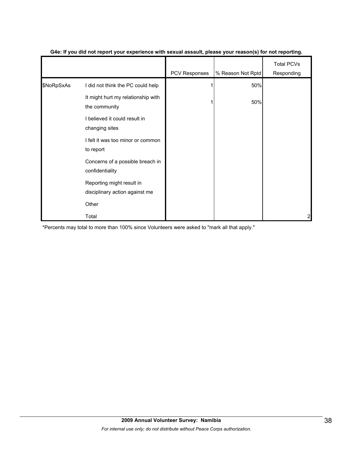|            |                                                             | PCV Responses | % Reason Not Rptd | <b>Total PCVs</b><br>Responding |
|------------|-------------------------------------------------------------|---------------|-------------------|---------------------------------|
| \$NoRpSxAs | I did not think the PC could help                           |               | 50%               |                                 |
|            | It might hurt my relationship with<br>the community         |               | 50%               |                                 |
|            | believed it could result in<br>changing sites               |               |                   |                                 |
|            | I felt it was too minor or common<br>to report              |               |                   |                                 |
|            | Concerns of a possible breach in<br>confidentiality         |               |                   |                                 |
|            | Reporting might result in<br>disciplinary action against me |               |                   |                                 |
|            | Other                                                       |               |                   |                                 |
|            | Total                                                       |               |                   | 2                               |

### **G4e: If you did not report your experience with sexual assault, please your reason(s) for not reporting.**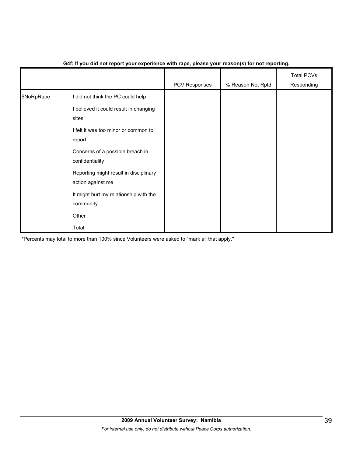|            |                                                             | PCV Responses | % Reason Not Rptd | <b>Total PCVs</b><br>Responding |
|------------|-------------------------------------------------------------|---------------|-------------------|---------------------------------|
| \$NoRpRape | I did not think the PC could help                           |               |                   |                                 |
|            | I believed it could result in changing<br>sites             |               |                   |                                 |
|            | I felt it was too minor or common to<br>report              |               |                   |                                 |
|            | Concerns of a possible breach in<br>confidentiality         |               |                   |                                 |
|            | Reporting might result in disciplinary<br>action against me |               |                   |                                 |
|            | It might hurt my relationship with the<br>community         |               |                   |                                 |
|            | Other                                                       |               |                   |                                 |
|            | Total                                                       |               |                   |                                 |

### **G4f: If you did not report your experience with rape, please your reason(s) for not reporting.**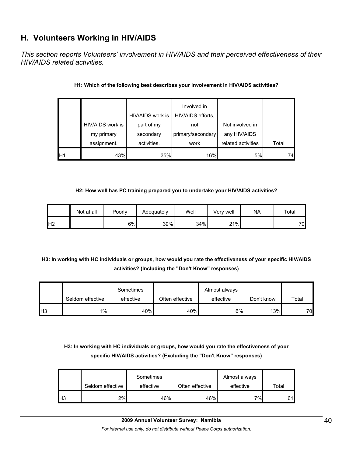# **H. Volunteers Working in HIV/AIDS**

*This section reports Volunteers' involvement in HIV/AIDS and their perceived effectiveness of their HIV/AIDS related activities.* 

|    |                  | HIV/AIDS work is | Involved in<br>HIV/AIDS efforts, |                    |       |
|----|------------------|------------------|----------------------------------|--------------------|-------|
|    | HIV/AIDS work is | part of my       | not                              | Not involved in    |       |
|    | my primary       | secondary        | primary/secondary                | any HIV/AIDS       |       |
|    | assignment.      | activities.      | work                             | related activities | Total |
| H1 | 43%              | 35%              | 16%                              | 5%                 | 74    |

### **H1: Which of the following best describes your involvement in HIV/AIDS activities?**

### **H2: How well has PC training prepared you to undertake your HIV/AIDS activities?**

|                | Not at all | Poorly | Adequatelv | Well | Verv well | <b>NA</b> | Total |
|----------------|------------|--------|------------|------|-----------|-----------|-------|
| H <sub>2</sub> |            | 6%     | 39%        | 34%  | 21%       |           | 70    |

# **H3: In working with HC individuals or groups, how would you rate the effectiveness of your specific HIV/AIDS activities? (Including the "Don't Know" responses)**

|                 |                  | Sometimes |                 | Almost always |            |       |
|-----------------|------------------|-----------|-----------------|---------------|------------|-------|
|                 | Seldom effective | effective | Often effective | effective     | Don't know | Total |
| IH <sub>3</sub> | $1\%$            | 40%       | 40%             | 6%            | 13%        | 70    |

# **H3: In working with HC individuals or groups, how would you rate the effectiveness of your specific HIV/AIDS activities? (Excluding the "Don't Know" responses)**

|     | Seldom effective | Sometimes<br>effective | Often effective | Almost always<br>effective | Total |
|-----|------------------|------------------------|-----------------|----------------------------|-------|
| lН3 | 2%               | 46%                    | 46%             | $7\%$ <sub>1</sub>         | 61l   |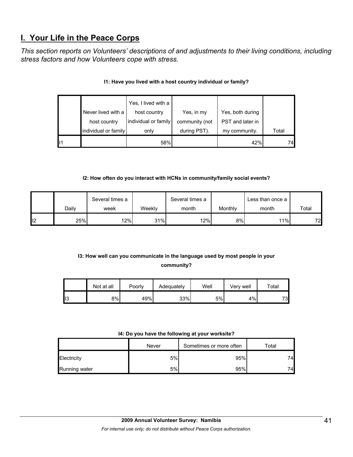# **I. Your Life in the Peace Corps**

*This section reports on Volunteers' descriptions of and adjustments to their living conditions, including stress factors and how Volunteers cope with stress.* 

|    |                      | Yes, I lived with a  |                |                  |       |
|----|----------------------|----------------------|----------------|------------------|-------|
|    | Never lived with a   | host country         | Yes, in my     | Yes, both during |       |
|    | host country         | individual or family | community (not | PST and later in |       |
|    | individual or family | only                 | during PST).   | my community.    | Total |
| 11 |                      | 58%                  |                | 42%              | 74    |

## **I1: Have you lived with a host country individual or family?**

### **I2: How often do you interact with HCNs in community/family social events?**

|    |       | Several times a |        | Several times a |         | Less than once a I |       |
|----|-------|-----------------|--------|-----------------|---------|--------------------|-------|
|    | Dailv | week            | Weeklv | month           | Monthly | month              | Total |
| 12 | 25%   | 12%             | 31%    | 12%             | 8%      | 11%                | 72    |

# **I3: How well can you communicate in the language used by most people in your community?**

|    | Not at all | Poorly | Adequately | Well | Verv well | $\tau$ otal |
|----|------------|--------|------------|------|-----------|-------------|
| 13 | 8%         | 49%    | 33%        | 5%   | 4%        | 73          |

### **I4: Do you have the following at your worksite?**

|               | Never | Sometimes or more often | $\tau$ otal |
|---------------|-------|-------------------------|-------------|
| Electricity   | 5%    | 95%                     | 74          |
| Running water | 5%    | 95%                     | 74          |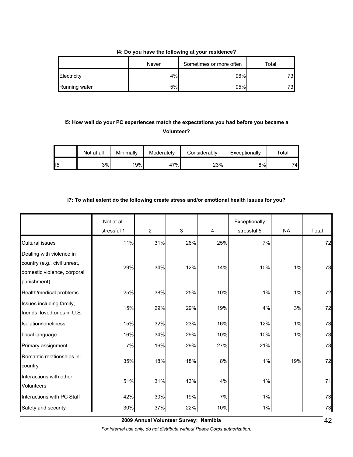### **I4: Do you have the following at your residence?**

|                      | Never | Sometimes or more often | ™otal |
|----------------------|-------|-------------------------|-------|
| Electricity          | 4%    | 96%                     | 73    |
| <b>Running water</b> | 5%    | 95%                     | 73    |

# **I5: How well do your PC experiences match the expectations you had before you became a Volunteer?**

|                | Not at all | Minimally | Moderately | Considerably | Exceptionally | $\tau$ otal |
|----------------|------------|-----------|------------|--------------|---------------|-------------|
| $\mathsf{II}5$ | 3%         | 19%       | 47%        | 23%          | 8%            | 74.         |

### **I7: To what extent do the following create stress and/or emotional health issues for you?**

|                                                                                                        | Not at all<br>stressful 1 | $\overline{2}$ | 3   | 4   | Exceptionally<br>stressful 5 | <b>NA</b> | Total |
|--------------------------------------------------------------------------------------------------------|---------------------------|----------------|-----|-----|------------------------------|-----------|-------|
| <b>Cultural issues</b>                                                                                 | 11%                       | 31%            | 26% | 25% | 7%                           |           | 72    |
| Dealing with violence in<br>country (e.g., civil unrest,<br>domestic violence, corporal<br>punishment) | 29%                       | 34%            | 12% | 14% | 10%                          | 1%        | 73    |
| Health/medical problems                                                                                | 25%                       | 38%            | 25% | 10% | $1\%$                        | 1%        | 72    |
| Issues including family,<br>friends, loved ones in U.S.                                                | 15%                       | 29%            | 29% | 19% | 4%                           | 3%        | 72    |
| Isolation/Ioneliness                                                                                   | 15%                       | 32%            | 23% | 16% | 12%                          | 1%        | 73    |
| Local language                                                                                         | 16%                       | 34%            | 29% | 10% | 10%                          | 1%        | 73    |
| Primary assignment                                                                                     | 7%                        | 16%            | 29% | 27% | 21%                          |           | 73    |
| Romantic relationships in-<br>country                                                                  | 35%                       | 18%            | 18% | 8%  | $1\%$                        | 19%       | 72    |
| Interactions with other<br><b>Volunteers</b>                                                           | 51%                       | 31%            | 13% | 4%  | 1%                           |           | 71    |
| Interactions with PC Staff                                                                             | 42%                       | 30%            | 19% | 7%  | $1\%$                        |           | 73    |
| Safety and security                                                                                    | 30%                       | 37%            | 22% | 10% | 1%                           |           | 73    |

**2009 Annual Volunteer Survey: Namibia** 

*For internal use only; do not distribute without Peace Corps authorization.*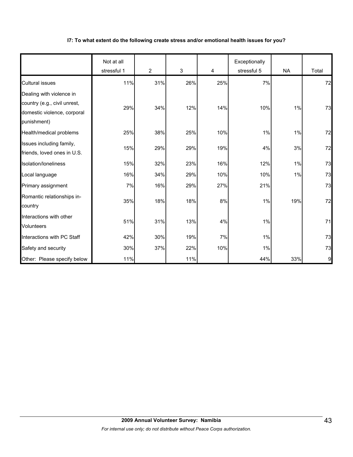### **I7: To what extent do the following create stress and/or emotional health issues for you?**

|                                                                                                        | Not at all<br>stressful 1 | $\overline{2}$ | 3   | 4   | Exceptionally<br>stressful 5 | <b>NA</b> | Total |
|--------------------------------------------------------------------------------------------------------|---------------------------|----------------|-----|-----|------------------------------|-----------|-------|
| <b>Cultural issues</b>                                                                                 | 11%                       | 31%            | 26% | 25% | 7%                           |           | 72    |
| Dealing with violence in<br>country (e.g., civil unrest,<br>domestic violence, corporal<br>punishment) | 29%                       | 34%            | 12% | 14% | 10%                          | 1%        | 73    |
| Health/medical problems                                                                                | 25%                       | 38%            | 25% | 10% | 1%                           | 1%        | 72    |
| Issues including family,<br>friends, loved ones in U.S.                                                | 15%                       | 29%            | 29% | 19% | 4%                           | 3%        | 72    |
| Isolation/loneliness                                                                                   | 15%                       | 32%            | 23% | 16% | 12%                          | $1\%$     | 73    |
| Local language                                                                                         | 16%                       | 34%            | 29% | 10% | 10%                          | 1%        | 73    |
| Primary assignment                                                                                     | 7%                        | 16%            | 29% | 27% | 21%                          |           | 73    |
| Romantic relationships in-<br>country                                                                  | 35%                       | 18%            | 18% | 8%  | 1%                           | 19%       | 72    |
| Interactions with other<br><b>Volunteers</b>                                                           | 51%                       | 31%            | 13% | 4%  | 1%                           |           | 71    |
| Interactions with PC Staff                                                                             | 42%                       | 30%            | 19% | 7%  | 1%                           |           | 73    |
| Safety and security                                                                                    | 30%                       | 37%            | 22% | 10% | $1\%$                        |           | 73    |
| Other: Please specify below                                                                            | 11%                       |                | 11% |     | 44%                          | 33%       | 9     |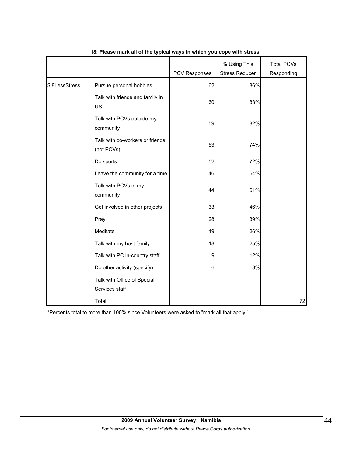|                |                                               | PCV Responses | % Using This<br><b>Stress Reducer</b> | <b>Total PCVs</b><br>Responding |
|----------------|-----------------------------------------------|---------------|---------------------------------------|---------------------------------|
| \$I8LessStress | Pursue personal hobbies                       | 62            | 86%                                   |                                 |
|                | Talk with friends and family in<br>US         | 60            | 83%                                   |                                 |
|                | Talk with PCVs outside my<br>community        | 59            | 82%                                   |                                 |
|                | Talk with co-workers or friends<br>(not PCVs) | 53            | 74%                                   |                                 |
|                | Do sports                                     | 52            | 72%                                   |                                 |
|                | Leave the community for a time                | 46            | 64%                                   |                                 |
|                | Talk with PCVs in my<br>community             | 44            | 61%                                   |                                 |
|                | Get involved in other projects                | 33            | 46%                                   |                                 |
|                | Pray                                          | 28            | 39%                                   |                                 |
|                | Meditate                                      | 19            | 26%                                   |                                 |
|                | Talk with my host family                      | 18            | 25%                                   |                                 |
|                | Talk with PC in-country staff                 | 9             | 12%                                   |                                 |
|                | Do other activity (specify)                   | 6             | 8%                                    |                                 |
|                | Talk with Office of Special<br>Services staff |               |                                       |                                 |
|                | Total                                         |               |                                       | 72                              |

### **I8: Please mark all of the typical ways in which you cope with stress.**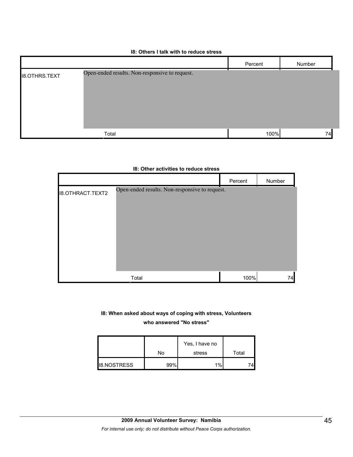### **I8: Others I talk with to reduce stress**

|                      |                                                | Percent | Number |
|----------------------|------------------------------------------------|---------|--------|
| <b>I8.OTHRS.TEXT</b> | Open-ended results. Non-responsive to request. |         |        |
|                      | Total                                          | 100%    | 74     |

|                         |                                                | Percent | Number |
|-------------------------|------------------------------------------------|---------|--------|
| <b>I8.OTHRACT.TEXT2</b> | Open-ended results. Non-responsive to request. |         |        |
|                         | Total                                          | 100%    | 74     |

### **I8: Other activities to reduce stress**

**I8: When asked about ways of coping with stress, Volunteers who answered "No stress"** 

|                    |     | Yes, I have no |       |
|--------------------|-----|----------------|-------|
|                    | No  | stress         | Total |
| <b>I8.NOSTRESS</b> | 99% | 1%             |       |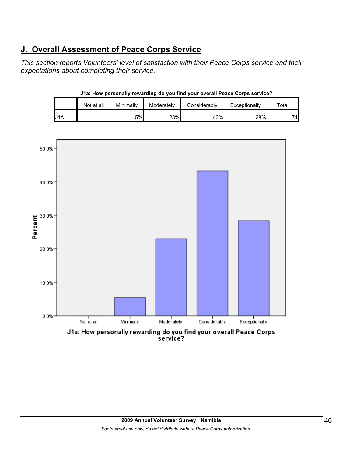# **J. Overall Assessment of Peace Corps Service**

*This section reports Volunteers' level of satisfaction with their Peace Corps service and their expectations about completing their service.* 

|                  | J1a: How personally rewarding do you find your overall Peace Corps service? |           |            |              |               |       |  |  |  |  |
|------------------|-----------------------------------------------------------------------------|-----------|------------|--------------|---------------|-------|--|--|--|--|
|                  | Not at all                                                                  | Minimally | Moderately | Considerably | Exceptionally | Total |  |  |  |  |
| U <sub>1</sub> A |                                                                             | 5%        | 23%        | 43%          | 28%           | 74    |  |  |  |  |

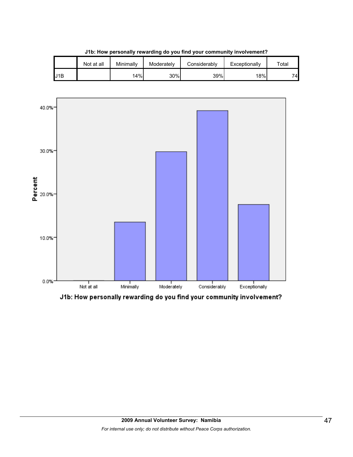|     | Not at all | Minimally | Moderately | Considerably | Exceptionally | $\tau$ otal |  |  |
|-----|------------|-----------|------------|--------------|---------------|-------------|--|--|
| J1B |            | 14%       | 30%        | 39%          | 18%           | 74.         |  |  |

**J1b: How personally rewarding do you find your community involvement?**



J1b: How personally rewarding do you find your community involvement?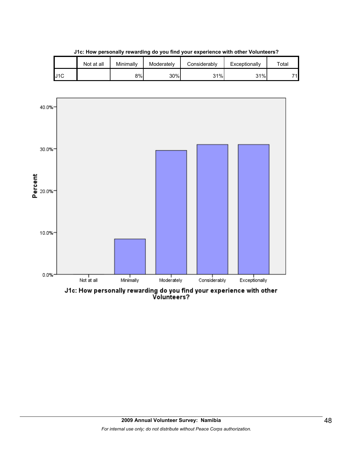|     | Not at all | Minimally | Moderately | Considerablv | Exceptionally | $\tau$ otal |
|-----|------------|-----------|------------|--------------|---------------|-------------|
| J1C |            | 8%l       | 30%        | 31%          | 31%           | 74          |

**J1c: How personally rewarding do you find your experience with other Volunteers?**



J1c: How personally rewarding do you find your experience with other<br>Volunteers?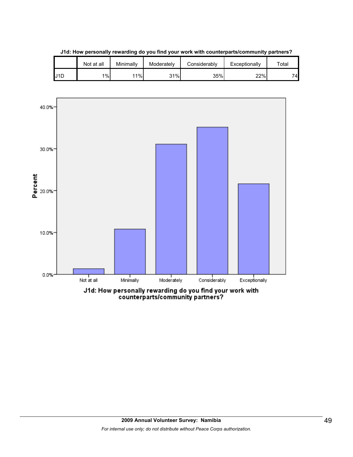

**J1d: How personally rewarding do you find your work with counterparts/community partners?**

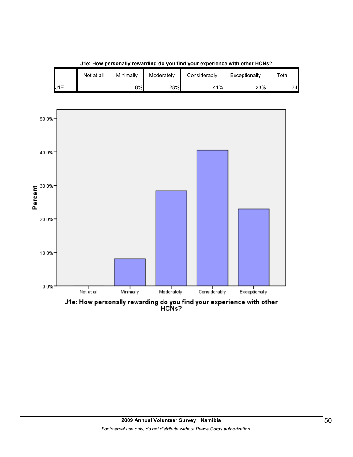

**J1e: How personally rewarding do you find your experience with other HCNs?**

J1E **1** 18% 28% 41% 23% 23% 74

Not at all | Minimally | Moderately | Considerably | Exceptionally | Total

J1e: How personally rewarding do you find your experience with other<br>HCNs?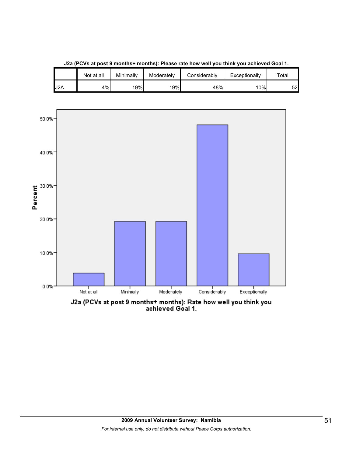

**J2a (PCVs at post 9 months+ months): Please rate how well you think you achieved Goal 1.**

J2a (PCVs at post 9 months+ months): Rate how well you think you<br>achieved Goal 1.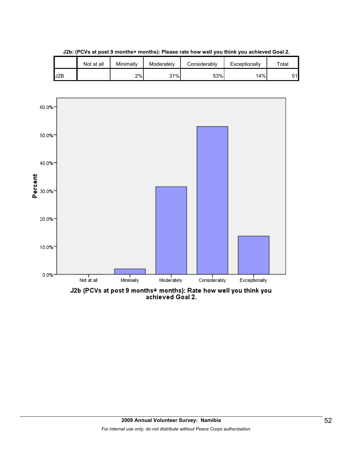

**J2b: (PCVs at post 9 months+ months): Please rate how well you think you achieved Goal 2.**

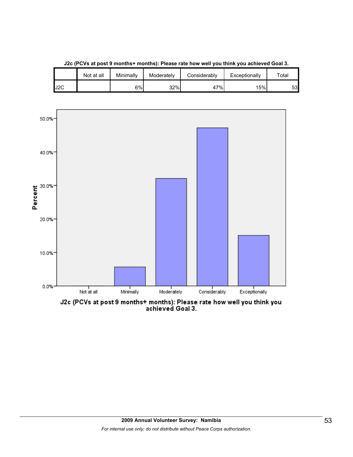

**J2c (PCVs at post 9 months+ months): Please rate how well you think you achieved Goal 3.**

J2C 6% 32% 47% 15% 53

Not at all | Minimally | Moderately | Considerably | Exceptionally | Total

J2c (PCVs at post 9 months+ months): Please rate how well you think you<br>achieved Goal 3.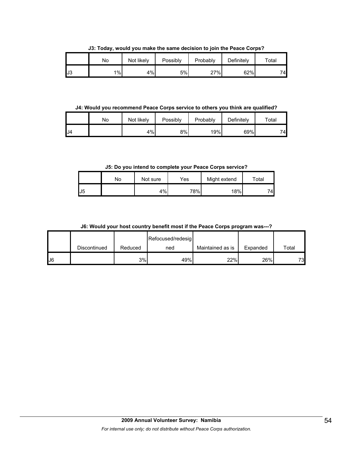**J3: Today, would you make the same decision to join the Peace Corps?**

|     | No | Not likely | Possibly | Probably | Definitely | Total |
|-----|----|------------|----------|----------|------------|-------|
| IJЗ | 1% | 4%         | 5%       | 27%      | 62%        | 74    |

**J4: Would you recommend Peace Corps service to others you think are qualified?**

|    | No | Not likely | Possibly | Probably | Definitely | $\tau$ otal |
|----|----|------------|----------|----------|------------|-------------|
| J4 |    | 4%         | 8%       | 19%      | 69%        | 74          |

**J5: Do you intend to complete your Peace Corps service?**

|    | No | Not sure | Yes | Might extend | $\tau$ otal |
|----|----|----------|-----|--------------|-------------|
| J5 |    | 4%       | 78% | 18%          | 74.         |

**J6: Would your host country benefit most if the Peace Corps program was---?**

|    |              |         | Refocused/redesig |                  |          |       |
|----|--------------|---------|-------------------|------------------|----------|-------|
|    | Discontinued | Reduced | ned               | Maintained as is | Expanded | Total |
| J6 |              | 3%      | 49%               | 22%              | 26%      | 73    |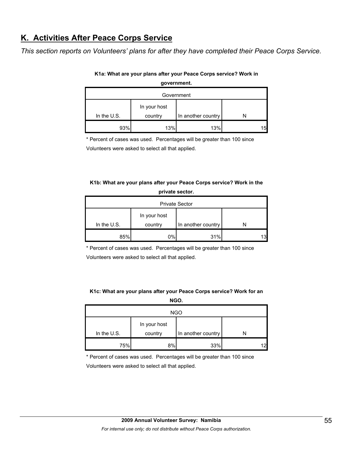# **K. Activities After Peace Corps Service**

*This section reports on Volunteers' plans for after they have completed their Peace Corps Service.* 

| government.   |         |                    |    |  |  |  |
|---------------|---------|--------------------|----|--|--|--|
| Government    |         |                    |    |  |  |  |
| In your host  |         |                    |    |  |  |  |
| In the $U.S.$ | country | In another country |    |  |  |  |
| 93%           | 13%     | 13%                | 15 |  |  |  |

### **K1a: What are your plans after your Peace Corps service? Work in**

\* Percent of cases was used. Percentages will be greater than 100 since

Volunteers were asked to select all that applied.

## **K1b: What are your plans after your Peace Corps service? Work in the private sector.**

| <b>Private Sector</b> |         |                    |     |  |  |  |
|-----------------------|---------|--------------------|-----|--|--|--|
| In your host          |         |                    |     |  |  |  |
| In the U.S.           | country | In another country |     |  |  |  |
| 85%                   | 0%      | 31%                | 131 |  |  |  |

\* Percent of cases was used. Percentages will be greater than 100 since

Volunteers were asked to select all that applied.

### **K1c: What are your plans after your Peace Corps service? Work for an**

| NGO.         |         |                    |  |  |  |  |
|--------------|---------|--------------------|--|--|--|--|
| <b>NGO</b>   |         |                    |  |  |  |  |
| In your host |         |                    |  |  |  |  |
| In the U.S.  | country | In another country |  |  |  |  |
| 75%          | 8%      | 33%                |  |  |  |  |

\* Percent of cases was used. Percentages will be greater than 100 since

Volunteers were asked to select all that applied.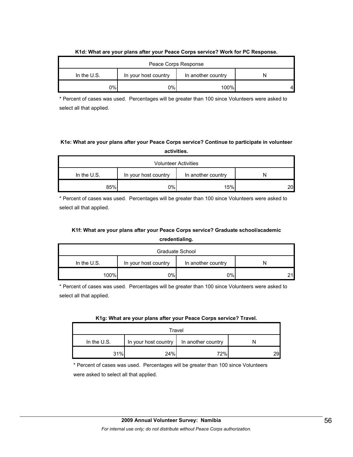| $111$ at $111$ at all $9$ at $9$ at $100$ at $100$ at $1000$ at $1000$ and $100$ at $100$ at $100$ at $100$ at $100$ |     |      |  |  |  |  |
|----------------------------------------------------------------------------------------------------------------------|-----|------|--|--|--|--|
| Peace Corps Response                                                                                                 |     |      |  |  |  |  |
| In the $U.S.$<br>In your host country<br>In another country                                                          |     |      |  |  |  |  |
| ገ%ነ                                                                                                                  | ו%0 | 100% |  |  |  |  |

### **K1d: What are your plans after your Peace Corps service? Work for PC Response.**

\* Percent of cases was used. Percentages will be greater than 100 since Volunteers were asked to select all that applied.

## **K1e: What are your plans after your Peace Corps service? Continue to participate in volunteer activities.**

| <b>Volunteer Activities</b>                                 |    |     |    |  |  |
|-------------------------------------------------------------|----|-----|----|--|--|
| In the $U.S.$<br>In your host country<br>In another country |    |     |    |  |  |
| 85%                                                         | 0% | 15% | 20 |  |  |

\* Percent of cases was used. Percentages will be greater than 100 since Volunteers were asked to select all that applied.

# **K1f: What are your plans after your Peace Corps service? Graduate school/academic credentialing.**

| Graduate School                                             |    |    |  |  |  |
|-------------------------------------------------------------|----|----|--|--|--|
| In the $U.S.$<br>In your host country<br>In another country |    |    |  |  |  |
| 100%                                                        | 0% | 0% |  |  |  |

\* Percent of cases was used. Percentages will be greater than 100 since Volunteers were asked to select all that applied.

|  |  | K1g: What are your plans after your Peace Corps service? Travel. |  |
|--|--|------------------------------------------------------------------|--|
|  |  |                                                                  |  |

| Travel                                                      |     |      |    |  |  |
|-------------------------------------------------------------|-----|------|----|--|--|
| In the $U.S.$<br>In your host country<br>In another country |     |      |    |  |  |
| 31%                                                         | 24% | 72%I | 29 |  |  |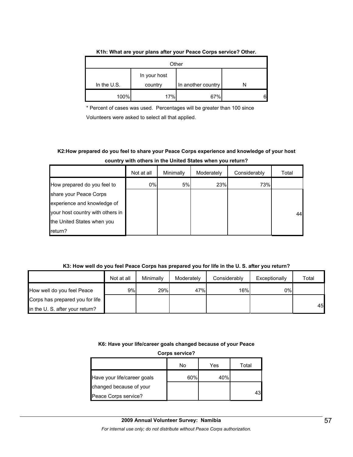| Other                                                        |     |     |  |  |  |  |
|--------------------------------------------------------------|-----|-----|--|--|--|--|
| In your host<br>In the U.S.<br>In another country<br>country |     |     |  |  |  |  |
| 100%                                                         | 17% | 67% |  |  |  |  |

### **K1h: What are your plans after your Peace Corps service? Other.**

\* Percent of cases was used. Percentages will be greater than 100 since Volunteers were asked to select all that applied.

# **K2:How prepared do you feel to share your Peace Corps experience and knowledge of your host country with others in the United States when you return?**

|                                  | Not at all | Minimally | Moderately | Considerably | Total |
|----------------------------------|------------|-----------|------------|--------------|-------|
| How prepared do you feel to      | 0%         | 5%        | 23%        | 73%          |       |
| share your Peace Corps           |            |           |            |              |       |
| experience and knowledge of      |            |           |            |              |       |
| your host country with others in |            |           |            |              | 44    |
| the United States when you       |            |           |            |              |       |
| return?                          |            |           |            |              |       |

### **K3: How well do you feel Peace Corps has prepared you for life in the U. S. after you return?**

|                                 | Not at all | Minimally | Moderately | Considerably | Exceptionally | Total |
|---------------------------------|------------|-----------|------------|--------------|---------------|-------|
| How well do you feel Peace      | 9%l        | 29%       | 47%        | 16%          | 0%l           |       |
| Corps has prepared you for life |            |           |            |              |               |       |
| in the U.S. after your return?  |            |           |            |              |               | 45    |

### **K6: Have your life/career goals changed because of your Peace**

**Corps service?**

|                             | No  | Yes | Total |
|-----------------------------|-----|-----|-------|
| Have your life/career goals | 60% | 40% |       |
| changed because of your     |     |     |       |
| Peace Corps service?        |     |     | 43    |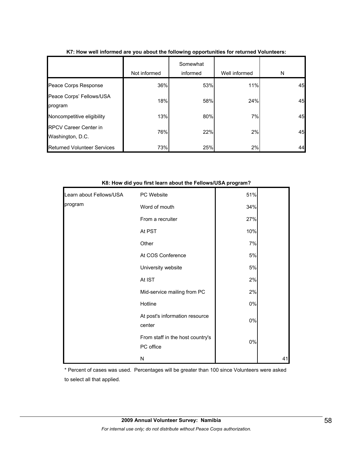|                                                  | Not informed | Somewhat<br>informed | Well informed | N  |
|--------------------------------------------------|--------------|----------------------|---------------|----|
| Peace Corps Response                             | 36%          | 53%                  | 11%           | 45 |
| Peace Corps' Fellows/USA<br>program              | 18%          | 58%                  | 24%           | 45 |
| Noncompetitive eligibility                       | 13%          | 80%                  | 7%            | 45 |
| <b>RPCV Career Center in</b><br>Washington, D.C. | 76%          | 22%                  | 2%            | 45 |
| <b>Returned Volunteer Services</b>               | 73%          | 25%                  | 2%            | 44 |

### **K7: How well informed are you about the following opportunities for returned Volunteers:**

|                         | w. How ard you mot fourm about the Fonomo/ook program . |       |    |
|-------------------------|---------------------------------------------------------|-------|----|
| Learn about Fellows/USA | PC Website                                              | 51%   |    |
| program                 | Word of mouth                                           | 34%   |    |
|                         | From a recruiter                                        | 27%   |    |
|                         | At PST                                                  | 10%   |    |
|                         | Other                                                   | 7%    |    |
|                         | At COS Conference                                       | 5%    |    |
|                         | University website                                      | 5%    |    |
|                         | At IST                                                  | 2%    |    |
|                         | Mid-service mailing from PC                             | 2%    |    |
|                         | Hotline                                                 | 0%    |    |
|                         | At post's information resource<br>center                | $0\%$ |    |
|                         | From staff in the host country's<br>PC office           | $0\%$ |    |
|                         | N                                                       |       | 41 |

**K8: How did you first learn about the Fellows/USA program?**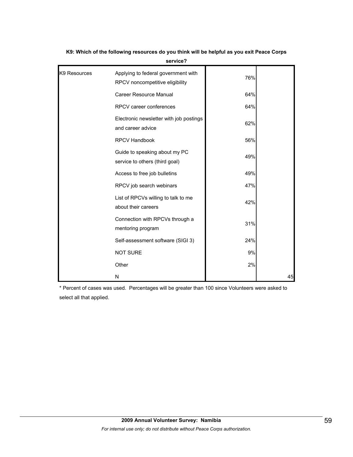| K9 Resources | Applying to federal government with<br>RPCV noncompetitive eligibility | 76% |    |
|--------------|------------------------------------------------------------------------|-----|----|
|              | <b>Career Resource Manual</b>                                          | 64% |    |
|              | RPCV career conferences                                                | 64% |    |
|              | Electronic newsletter with job postings<br>and career advice           | 62% |    |
|              | <b>RPCV Handbook</b>                                                   | 56% |    |
|              | Guide to speaking about my PC<br>service to others (third goal)        | 49% |    |
|              | Access to free job bulletins                                           | 49% |    |
|              | RPCV job search webinars                                               | 47% |    |
|              | List of RPCVs willing to talk to me<br>about their careers             | 42% |    |
|              | Connection with RPCVs through a<br>mentoring program                   | 31% |    |
|              | Self-assessment software (SIGI 3)                                      | 24% |    |
|              | <b>NOT SURE</b>                                                        | 9%  |    |
|              | Other                                                                  | 2%  |    |
|              | N                                                                      |     | 45 |

**K9: Which of the following resources do you think will be helpful as you exit Peace Corps service?**